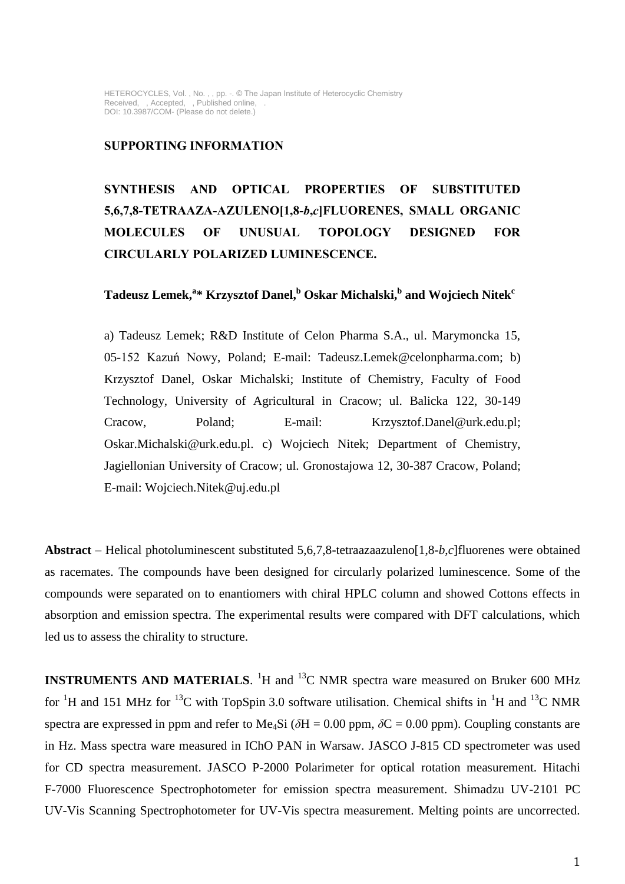### **SUPPORTING INFORMATION**

**SYNTHESIS AND OPTICAL PROPERTIES OF SUBSTITUTED 5,6,7,8-TETRAAZA-AZULENO[1,8-***b***,***c***]FLUORENES, SMALL ORGANIC MOLECULES OF UNUSUAL TOPOLOGY DESIGNED FOR CIRCULARLY POLARIZED LUMINESCENCE.**

## **Tadeusz Lemek,<sup>a</sup> \* Krzysztof Danel,<sup>b</sup> Oskar Michalski, b and Wojciech Nitek<sup>c</sup>**

a) Tadeusz Lemek; R&D Institute of Celon Pharma S.A., ul. Marymoncka 15, 05-152 Kazuń Nowy, Poland; E-mail: Tadeusz.Lemek@celonpharma.com; b) Krzysztof Danel, Oskar Michalski; Institute of Chemistry, Faculty of Food Technology, University of Agricultural in Cracow; ul. Balicka 122, 30-149 Cracow, Poland; E-mail: Krzysztof.Danel@urk.edu.pl; Oskar.Michalski@urk.edu.pl. c) Wojciech Nitek; Department of Chemistry, Jagiellonian University of Cracow; ul. Gronostajowa 12, 30-387 Cracow, Poland; E-mail: Wojciech.Nitek@uj.edu.pl

**Abstract** – Helical photoluminescent substituted 5,6,7,8-tetraazaazuleno[1,8-*b*,*c*]fluorenes were obtained as racemates. The compounds have been designed for circularly polarized luminescence. Some of the compounds were separated on to enantiomers with chiral HPLC column and showed Cottons effects in absorption and emission spectra. The experimental results were compared with DFT calculations, which led us to assess the chirality to structure.

**INSTRUMENTS AND MATERIALS.** <sup>1</sup>H and <sup>13</sup>C NMR spectra ware measured on Bruker 600 MHz for <sup>1</sup>H and 151 MHz for <sup>13</sup>C with TopSpin 3.0 software utilisation. Chemical shifts in <sup>1</sup>H and <sup>13</sup>C NMR spectra are expressed in ppm and refer to Me<sub>4</sub>Si ( $\delta$ H = 0.00 ppm,  $\delta$ C = 0.00 ppm). Coupling constants are in Hz. Mass spectra ware measured in IChO PAN in Warsaw. JASCO J-815 CD spectrometer was used for CD spectra measurement. JASCO P-2000 Polarimeter for optical rotation measurement. Hitachi F-7000 Fluorescence Spectrophotometer for emission spectra measurement. Shimadzu UV-2101 PC UV-Vis Scanning Spectrophotometer for UV-Vis spectra measurement. Melting points are uncorrected.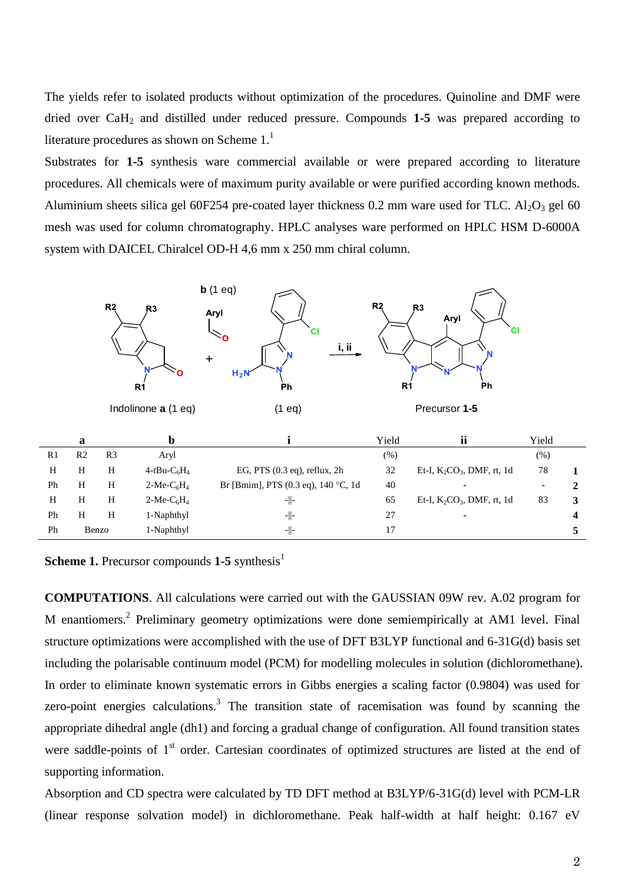The yields refer to isolated products without optimization of the procedures. Quinoline and DMF were dried over CaH<sup>2</sup> and distilled under reduced pressure. Compounds **1-5** was prepared according to literature procedures as shown on Scheme  $1<sup>1</sup>$ 

Substrates for **1-5** synthesis ware commercial available or were prepared according to literature procedures. All chemicals were of maximum purity available or were purified according known methods. Aluminium sheets silica gel 60F254 pre-coated layer thickness 0.2 mm ware used for TLC.  $Al_2O_3$  gel 60 mesh was used for column chromatography. HPLC analyses ware performed on HPLC HSM D-6000A system with DAICEL Chiralcel OD-H 4,6 mm x 250 mm chiral column.



**Scheme 1.** Precursor compounds **1-5** synthesis<sup>1</sup>

**COMPUTATIONS**. All calculations were carried out with the GAUSSIAN 09W rev. A.02 program for M enantiomers.<sup>2</sup> Preliminary geometry optimizations were done semiempirically at AM1 level. Final structure optimizations were accomplished with the use of DFT B3LYP functional and 6-31G(d) basis set including the polarisable continuum model (PCM) for modelling molecules in solution (dichloromethane). In order to eliminate known systematic errors in Gibbs energies a scaling factor (0.9804) was used for zero-point energies calculations.<sup>3</sup> The transition state of racemisation was found by scanning the appropriate dihedral angle (dh1) and forcing a gradual change of configuration. All found transition states were saddle-points of  $1<sup>st</sup>$  order. Cartesian coordinates of optimized structures are listed at the end of supporting information.

Absorption and CD spectra were calculated by TD DFT method at B3LYP/6-31G(d) level with PCM-LR (linear response solvation model) in dichloromethane. Peak half-width at half height: 0.167 eV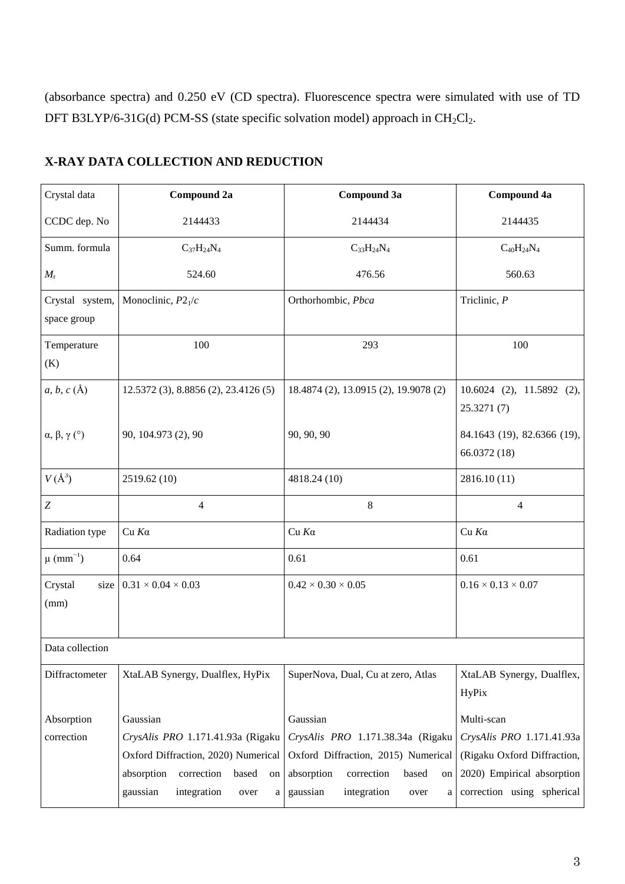(absorbance spectra) and 0.250 eV (CD spectra). Fluorescence spectra were simulated with use of TD DFT B3LYP/6-31G(d) PCM-SS (state specific solvation model) approach in  $CH_2Cl_2$ .

| Crystal data                                       | Compound 2a                                                                                                                                                             | Compound 3a                                                                                                                                                             | <b>Compound 4a</b>                                                                                                                 |
|----------------------------------------------------|-------------------------------------------------------------------------------------------------------------------------------------------------------------------------|-------------------------------------------------------------------------------------------------------------------------------------------------------------------------|------------------------------------------------------------------------------------------------------------------------------------|
| CCDC dep. No                                       | 2144433                                                                                                                                                                 | 2144434                                                                                                                                                                 | 2144435                                                                                                                            |
| Summ. formula                                      | $\rm{C_{37}H_{24}N_4}$                                                                                                                                                  | $C_{33}H_{24}N_4$                                                                                                                                                       | $C_{40}H_{24}N_4$                                                                                                                  |
| $M_{\rm r}$                                        | 524.60                                                                                                                                                                  | 476.56                                                                                                                                                                  | 560.63                                                                                                                             |
| Crystal system,<br>space group                     | Monoclinic, $P2_1/c$                                                                                                                                                    | Orthorhombic, Pbca                                                                                                                                                      | Triclinic, $P$                                                                                                                     |
| Temperature<br>(K)                                 | 100                                                                                                                                                                     | 293                                                                                                                                                                     | 100                                                                                                                                |
| $a, b, c(\AA)$                                     | 12.5372 (3), 8.8856 (2), 23.4126 (5)                                                                                                                                    | 18.4874 (2), 13.0915 (2), 19.9078 (2)                                                                                                                                   | $10.6024$ (2), $11.5892$ (2),<br>25.3271(7)                                                                                        |
| $\alpha, \beta, \gamma$ (°)<br>90, 104.973 (2), 90 |                                                                                                                                                                         | 90, 90, 90                                                                                                                                                              | 84.1643 (19), 82.6366 (19),<br>66.0372 (18)                                                                                        |
| $V(A^3)$                                           | 2519.62 (10)                                                                                                                                                            | 4818.24 (10)                                                                                                                                                            | 2816.10 (11)                                                                                                                       |
| $\boldsymbol{Z}$                                   | $\overline{4}$                                                                                                                                                          | 8                                                                                                                                                                       | 4                                                                                                                                  |
| Radiation type                                     | $Cu$ K $\alpha$                                                                                                                                                         | $Cu$ $Ka$                                                                                                                                                               | $Cu$ $Ka$                                                                                                                          |
| $\mu$ (mm <sup>-1</sup> )                          | 0.64                                                                                                                                                                    | 0.61                                                                                                                                                                    | 0.61                                                                                                                               |
| Crystal<br>size<br>(mm)                            | $0.31 \times 0.04 \times 0.03$                                                                                                                                          | $0.42 \times 0.30 \times 0.05$                                                                                                                                          | $0.16 \times 0.13 \times 0.07$                                                                                                     |
| Data collection                                    |                                                                                                                                                                         |                                                                                                                                                                         |                                                                                                                                    |
| Diffractometer                                     | XtaLAB Synergy, Dualflex, HyPix                                                                                                                                         | SuperNova, Dual, Cu at zero, Atlas                                                                                                                                      | XtaLAB Synergy, Dualflex,<br><b>HyPix</b>                                                                                          |
| Absorption<br>correction                           | Gaussian<br>CrysAlis PRO 1.171.41.93a (Rigaku<br>Oxford Diffraction, 2020) Numerical<br>absorption<br>correction<br>based<br>on<br>integration<br>gaussian<br>over<br>a | Gaussian<br>CrysAlis PRO 1.171.38.34a (Rigaku<br>Oxford Diffraction, 2015) Numerical<br>absorption<br>correction<br>based<br>on<br>integration<br>gaussian<br>over<br>a | Multi-scan<br>CrysAlis PRO 1.171.41.93a<br>(Rigaku Oxford Diffraction,<br>2020) Empirical absorption<br>correction using spherical |

## **X-RAY DATA COLLECTION AND REDUCTION**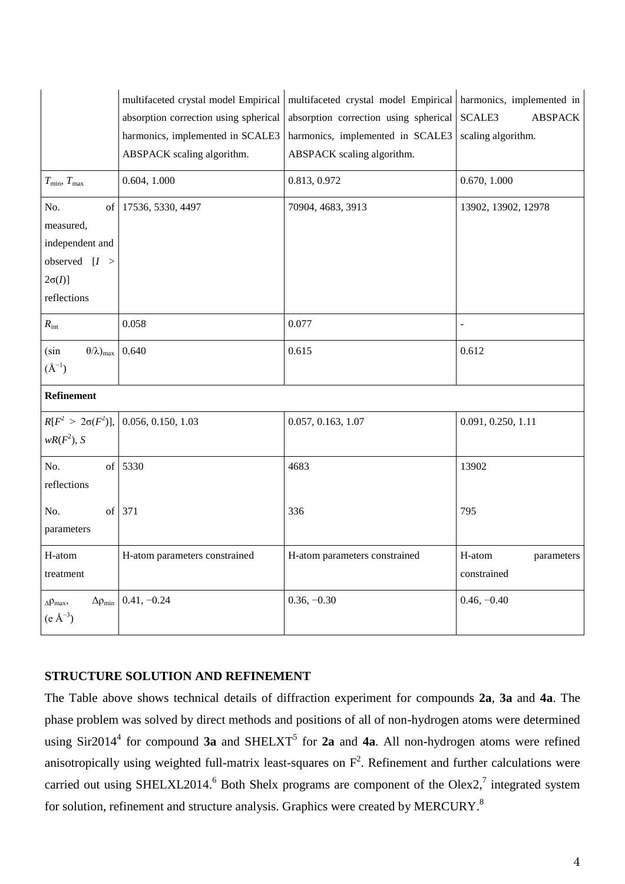|                                         | multifaceted crystal model Empirical  | multifaceted crystal model Empirical  | harmonics, implemented in |  |  |
|-----------------------------------------|---------------------------------------|---------------------------------------|---------------------------|--|--|
|                                         | absorption correction using spherical | absorption correction using spherical | SCALE3<br><b>ABSPACK</b>  |  |  |
| harmonics, implemented in SCALE3        |                                       | harmonics, implemented in SCALE3      | scaling algorithm.        |  |  |
|                                         | ABSPACK scaling algorithm.            | ABSPACK scaling algorithm.            |                           |  |  |
| $T_{\min}, T_{\max}$                    | 0.604, 1.000                          | 0.813, 0.972                          | 0.670, 1.000              |  |  |
| No.<br>of                               | 17536, 5330, 4497                     | 70904, 4683, 3913                     | 13902, 13902, 12978       |  |  |
| measured,                               |                                       |                                       |                           |  |  |
| independent and                         |                                       |                                       |                           |  |  |
| observed $[I >$                         |                                       |                                       |                           |  |  |
| $2\sigma(I)$                            |                                       |                                       |                           |  |  |
| reflections                             |                                       |                                       |                           |  |  |
| $R_{\rm int}$                           | 0.058                                 | 0.077                                 | $\overline{a}$            |  |  |
| (sin<br>$(\theta/\lambda)_{\text{max}}$ | 0.640                                 | 0.615                                 | 0.612                     |  |  |
| $(A^{-1})$                              |                                       |                                       |                           |  |  |
| Refinement                              |                                       |                                       |                           |  |  |
| $R[F^2 > 2\sigma(F^2)],$                | 0.056, 0.150, 1.03                    | 0.057, 0.163, 1.07                    | 0.091, 0.250, 1.11        |  |  |
| $wR(F^2), S$                            |                                       |                                       |                           |  |  |
| No.                                     | of 5330                               | 4683                                  | 13902                     |  |  |
| reflections                             |                                       |                                       |                           |  |  |
| No.                                     | of $371$                              | 336                                   | 795                       |  |  |
| parameters                              |                                       |                                       |                           |  |  |
| H-atom                                  | H-atom parameters constrained         | H-atom parameters constrained         | H-atom<br>parameters      |  |  |
| treatment                               |                                       |                                       | constrained               |  |  |
| $\Delta \rho_{\text{max}}$              | $\Delta \rho_{min}$ 0.41, -0.24       | $0.36, -0.30$                         | $0.46, -0.40$             |  |  |
| $(e \text{ Å}^{-3})$                    |                                       |                                       |                           |  |  |
|                                         |                                       |                                       |                           |  |  |

## **STRUCTURE SOLUTION AND REFINEMENT**

The Table above shows technical details of diffraction experiment for compounds **2a**, **3a** and **4a**. The phase problem was solved by direct methods and positions of all of non-hydrogen atoms were determined using  $\text{Sir2014}^4$  for compound **3a** and  $\text{SHELXT}^5$  for **2a** and **4a**. All non-hydrogen atoms were refined anisotropically using weighted full-matrix least-squares on  $F^2$ . Refinement and further calculations were carried out using SHELXL2014.<sup>6</sup> Both Shelx programs are component of the Olex2,<sup>7</sup> integrated system for solution, refinement and structure analysis. Graphics were created by MERCURY.<sup>8</sup>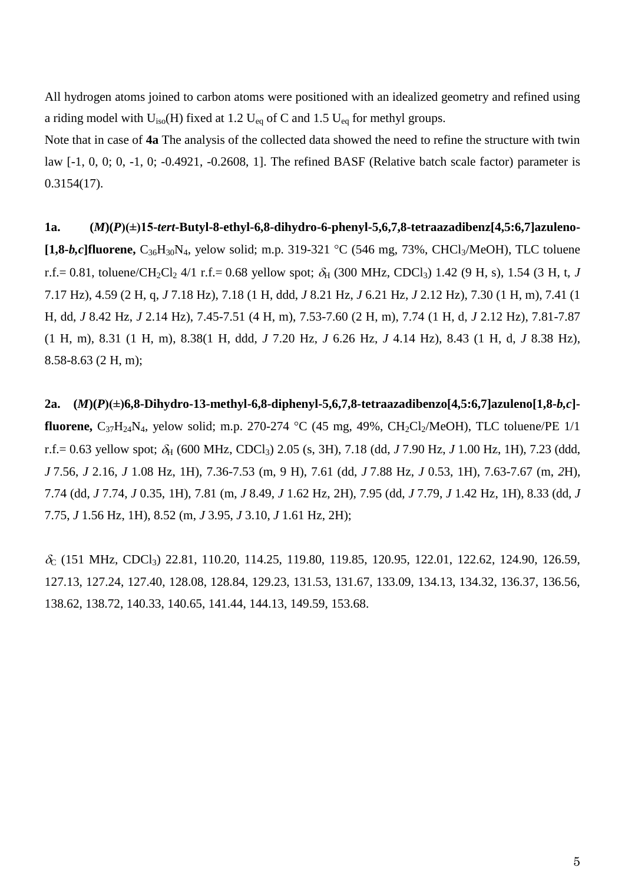All hydrogen atoms joined to carbon atoms were positioned with an idealized geometry and refined using a riding model with  $U_{iso}(H)$  fixed at 1.2  $U_{eq}$  of C and 1.5  $U_{eq}$  for methyl groups.

Note that in case of **4a** The analysis of the collected data showed the need to refine the structure with twin law [-1, 0, 0; 0, -1, 0; -0.4921, -0.2608, 1]. The refined BASF (Relative batch scale factor) parameter is 0.3154(17).

**1a. (***M***)(***P***)(±)15-***tert***-Butyl-8-ethyl-6,8-dihydro-6-phenyl-5,6,7,8-tetraazadibenz[4,5:6,7]azuleno- [1,8-***b,c*]fluorene,  $C_{36}H_{30}N_4$ , yelow solid; m.p. 319-321 °C (546 mg, 73%, CHCl<sub>3</sub>/MeOH), TLC toluene r.f.= 0.81, toluene/CH<sub>2</sub>Cl<sub>2</sub> 4/1 r.f.= 0.68 yellow spot;  $\delta_H$  (300 MHz, CDCl<sub>3</sub>) 1.42 (9 H, s), 1.54 (3 H, t, *J* 7.17 Hz), 4.59 (2 H, q, *J* 7.18 Hz), 7.18 (1 H, ddd, *J* 8.21 Hz, *J* 6.21 Hz, *J* 2.12 Hz), 7.30 (1 H, m), 7.41 (1 H, dd, *J* 8.42 Hz, *J* 2.14 Hz), 7.45-7.51 (4 H, m), 7.53-7.60 (2 H, m), 7.74 (1 H, d, *J* 2.12 Hz), 7.81-7.87 (1 H, m), 8.31 (1 H, m), 8.38(1 H, ddd, *J* 7.20 Hz, *J* 6.26 Hz, *J* 4.14 Hz), 8.43 (1 H, d, *J* 8.38 Hz), 8.58-8.63 (2 H, m);

**2a. (***M***)(***P***)(±)6,8-Dihydro-13-methyl-6,8-diphenyl-5,6,7,8-tetraazadibenzo[4,5:6,7]azuleno[1,8-***b,c***] fluorene,**  $C_{37}H_{24}N_4$ , yelow solid; m.p. 270-274 °C (45 mg, 49%,  $CH_2Cl_2/MeOH$ ), TLC toluene/PE 1/1 r.f.= 0.63 yellow spot;  $\delta_H$  (600 MHz, CDCl<sub>3</sub>) 2.05 (s, 3H), 7.18 (dd, *J* 7.90 Hz, *J* 1.00 Hz, 1H), 7.23 (ddd, *J* 7.56, *J* 2.16, *J* 1.08 Hz, 1H), 7.36-7.53 (m, 9 H), 7.61 (dd, *J* 7.88 Hz, *J* 0.53, 1H), 7.63-7.67 (m, *2*H), 7.74 (dd, *J* 7.74, *J* 0.35, 1H), 7.81 (m, *J* 8.49, *J* 1.62 Hz, 2H), 7.95 (dd, *J* 7.79, *J* 1.42 Hz, 1H), 8.33 (dd, *J*  7.75, *J* 1.56 Hz, 1H), 8.52 (m, *J* 3.95, *J* 3.10, *J* 1.61 Hz, 2H);

 $\delta$  (151 MHz, CDCl<sub>3</sub>) 22.81, 110.20, 114.25, 119.80, 119.85, 120.95, 122.01, 122.62, 124.90, 126.59, 127.13, 127.24, 127.40, 128.08, 128.84, 129.23, 131.53, 131.67, 133.09, 134.13, 134.32, 136.37, 136.56, 138.62, 138.72, 140.33, 140.65, 141.44, 144.13, 149.59, 153.68.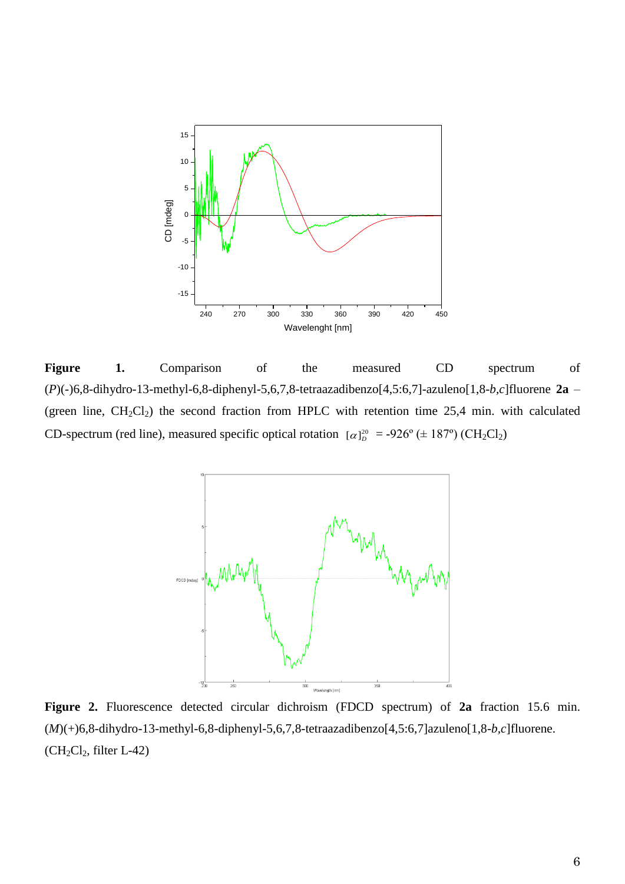

Figure 1. Comparison of the measured CD spectrum of (*P*)(-)6,8-dihydro-13-methyl-6,8-diphenyl-5,6,7,8-tetraazadibenzo[4,5:6,7]-azuleno[1,8-*b,c*]fluorene **2a** – (green line,  $CH_2Cl_2$ ) the second fraction from HPLC with retention time 25,4 min. with calculated CD-spectrum (red line), measured specific optical rotation  $\lbrack \alpha \rbrack_{D}^{20} = -926^{\circ} (\pm 187^{\circ})$  (CH<sub>2</sub>Cl<sub>2</sub>)



**Figure 2.** Fluorescence detected circular dichroism (FDCD spectrum) of **2a** fraction 15.6 min. (*M*)(+)6,8-dihydro-13-methyl-6,8-diphenyl-5,6,7,8-tetraazadibenzo[4,5:6,7]azuleno[1,8-*b,c*]fluorene.  $(CH_2Cl_2$ , filter L-42)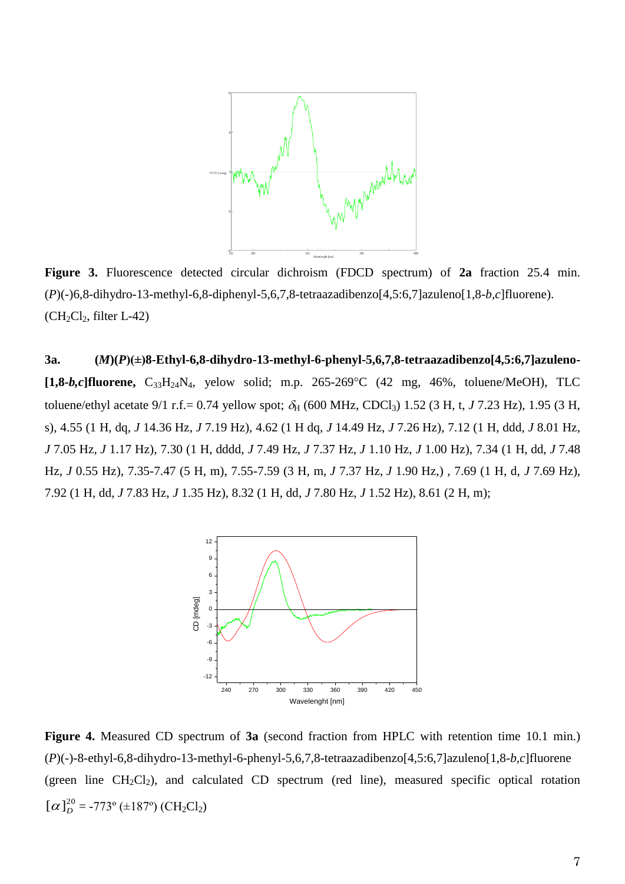

**Figure 3.** Fluorescence detected circular dichroism (FDCD spectrum) of **2a** fraction 25.4 min. (*P*)(-)6,8-dihydro-13-methyl-6,8-diphenyl-5,6,7,8-tetraazadibenzo[4,5:6,7]azuleno[1,8-*b,c*]fluorene).  $(CH_2Cl_2, filter L-42)$ 

**3a. (***M***)(***P***)(±)8-Ethyl-6,8-dihydro-13-methyl-6-phenyl-5,6,7,8-tetraazadibenzo[4,5:6,7]azuleno- [1,8-***b,c***]fluorene,** C33H24N4, yelow solid; m.p. 265-269C (42 mg, 46%, toluene/MeOH), TLC toluene/ethyl acetate 9/1 r.f. = 0.74 yellow spot;  $\delta_H$  (600 MHz, CDCl<sub>3</sub>) 1.52 (3 H, t, *J* 7.23 Hz), 1.95 (3 H, s), 4.55 (1 H, dq, *J* 14.36 Hz, *J* 7.19 Hz), 4.62 (1 H dq, *J* 14.49 Hz, *J* 7.26 Hz), 7.12 (1 H, ddd, *J* 8.01 Hz, *J* 7.05 Hz, *J* 1.17 Hz), 7.30 (1 H, dddd, *J* 7.49 Hz, *J* 7.37 Hz, *J* 1.10 Hz, *J* 1.00 Hz), 7.34 (1 H, dd, *J* 7.48 Hz, *J* 0.55 Hz), 7.35-7.47 (5 H, m), 7.55-7.59 (3 H, m, *J* 7.37 Hz, *J* 1.90 Hz,) , 7.69 (1 H, d, *J* 7.69 Hz), 7.92 (1 H, dd, *J* 7.83 Hz, *J* 1.35 Hz), 8.32 (1 H, dd, *J* 7.80 Hz, *J* 1.52 Hz), 8.61 (2 H, m);



**Figure 4.** Measured CD spectrum of **3a** (second fraction from HPLC with retention time 10.1 min.) (*P*)(*-*)-8-ethyl-6,8-dihydro-13-methyl-6-phenyl-5,6,7,8-tetraazadibenzo[4,5:6,7]azuleno[1,8-*b,c*]fluorene (green line  $CH_2Cl_2$ ), and calculated CD spectrum (red line), measured specific optical rotation  $[\alpha]_D^{20}$  = -773° (±187°) (CH<sub>2</sub>Cl<sub>2</sub>)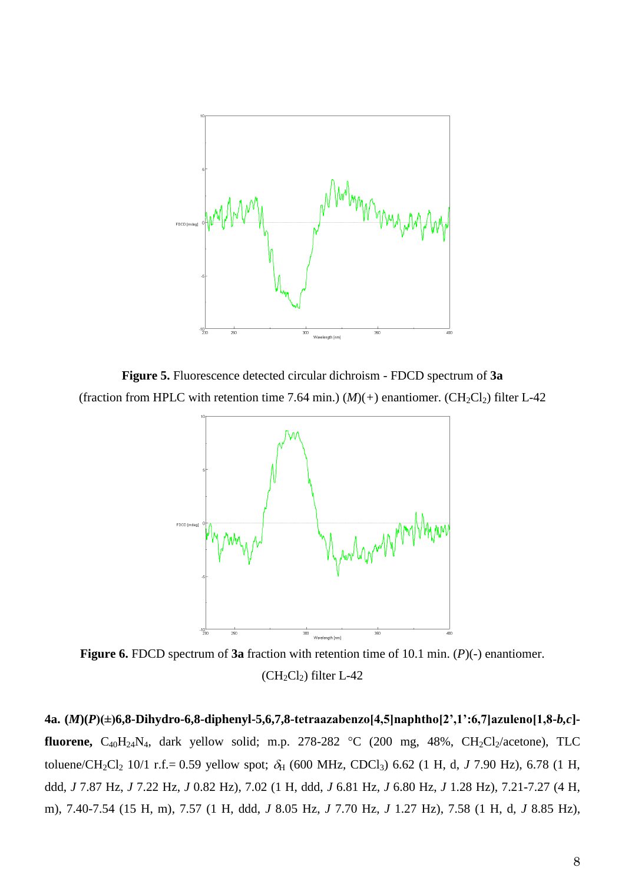

**Figure 5.** Fluorescence detected circular dichroism - FDCD spectrum of **3a** (fraction from HPLC with retention time 7.64 min.)  $(M)(+)$  enantiomer. (CH<sub>2</sub>Cl<sub>2</sub>) filter L-42



**Figure 6.** FDCD spectrum of **3a** fraction with retention time of 10.1 min. (*P*)(*-*) enantiomer.  $(CH_2Cl_2)$  filter L-42

**4a. (***M***)(***P***)(±)6,8-Dihydro-6,8-diphenyl-5,6,7,8-tetraazabenzo[4,5]naphtho[2',1':6,7]azuleno[1,8-***b,c***] fluorene,**  $C_{40}H_{24}N_4$ , dark yellow solid; m.p. 278-282 °C (200 mg, 48%,  $CH_2Cl_2/acetone$ ), TLC toluene/CH<sub>2</sub>Cl<sub>2</sub> 10/1 r.f.= 0.59 yellow spot;  $\delta_H$  (600 MHz, CDCl<sub>3</sub>) 6.62 (1 H, d, *J* 7.90 Hz), 6.78 (1 H, ddd, *J* 7.87 Hz, *J* 7.22 Hz, *J* 0.82 Hz), 7.02 (1 H, ddd, *J* 6.81 Hz, *J* 6.80 Hz, *J* 1.28 Hz), 7.21-7.27 (4 H, m), 7.40-7.54 (15 H, m), 7.57 (1 H, ddd, *J* 8.05 Hz, *J* 7.70 Hz, *J* 1.27 Hz), 7.58 (1 H, d, *J* 8.85 Hz),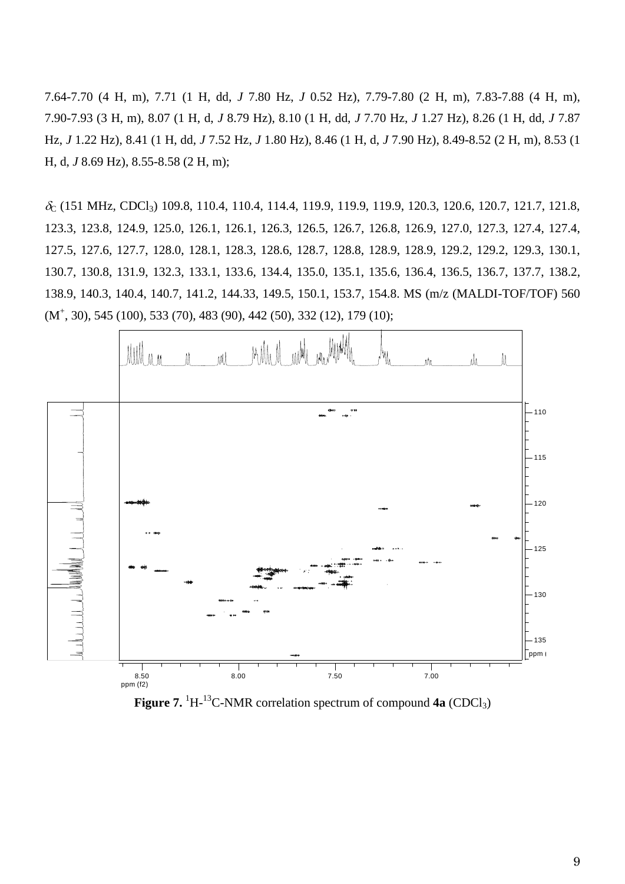7.64-7.70 (4 H, m), 7.71 (1 H, dd, *J* 7.80 Hz, *J* 0.52 Hz), 7.79-7.80 (2 H, m), 7.83-7.88 (4 H, m), 7.90-7.93 (3 H, m), 8.07 (1 H, d, *J* 8.79 Hz), 8.10 (1 H, dd, *J* 7.70 Hz, *J* 1.27 Hz), 8.26 (1 H, dd, *J* 7.87 Hz, *J* 1.22 Hz), 8.41 (1 H, dd, *J* 7.52 Hz, *J* 1.80 Hz), 8.46 (1 H, d, *J* 7.90 Hz), 8.49-8.52 (2 H, m), 8.53 (1 H, d, *J* 8.69 Hz), 8.55-8.58 (2 H, m);

 $\delta_{\rm C}$  (151 MHz, CDCl<sub>3</sub>) 109.8, 110.4, 110.4, 114.4, 119.9, 119.9, 119.9, 120.3, 120.6, 120.7, 121.7, 121.8, 123.3, 123.8, 124.9, 125.0, 126.1, 126.1, 126.3, 126.5, 126.7, 126.8, 126.9, 127.0, 127.3, 127.4, 127.4, 127.5, 127.6, 127.7, 128.0, 128.1, 128.3, 128.6, 128.7, 128.8, 128.9, 128.9, 129.2, 129.2, 129.3, 130.1, 130.7, 130.8, 131.9, 132.3, 133.1, 133.6, 134.4, 135.0, 135.1, 135.6, 136.4, 136.5, 136.7, 137.7, 138.2, 138.9, 140.3, 140.4, 140.7, 141.2, 144.33, 149.5, 150.1, 153.7, 154.8. MS (m/z (MALDI-TOF/TOF) 560 (M<sup>+</sup> , 30), 545 (100), 533 (70), 483 (90), 442 (50), 332 (12), 179 (10);



Figure 7. <sup>1</sup>H<sup>-13</sup>C-NMR correlation spectrum of compound 4a (CDCl<sub>3</sub>)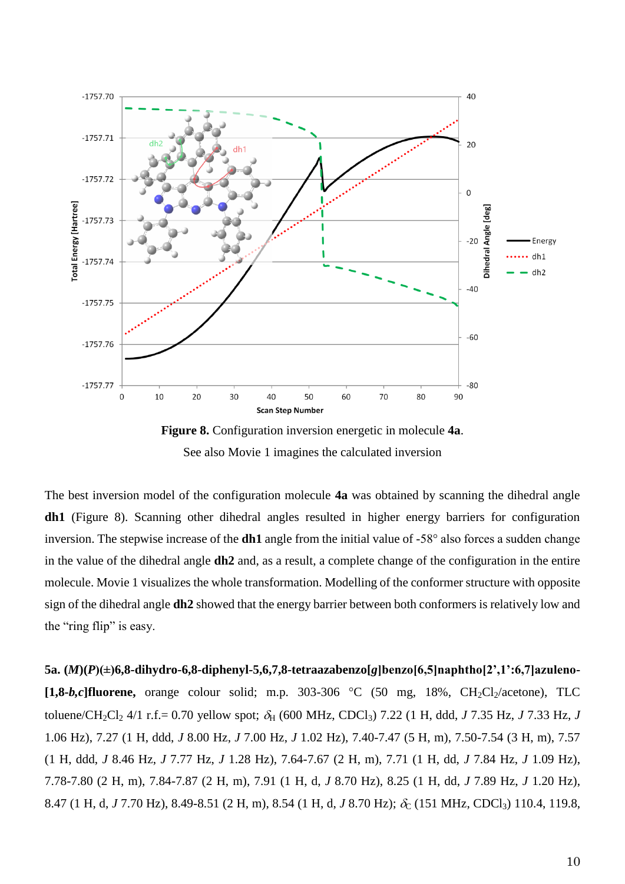

**Figure 8.** Configuration inversion energetic in molecule **4a**. See also Movie 1 imagines the calculated inversion

The best inversion model of the configuration molecule **4a** was obtained by scanning the dihedral angle **dh1** (Figure 8). Scanning other dihedral angles resulted in higher energy barriers for configuration inversion. The stepwise increase of the **dh1** angle from the initial value of -58° also forces a sudden change in the value of the dihedral angle **dh2** and, as a result, a complete change of the configuration in the entire molecule. Movie 1 visualizes the whole transformation. Modelling of the conformer structure with opposite sign of the dihedral angle **dh2** showed that the energy barrier between both conformers is relatively low and the "ring flip" is easy.

**5a. (***M***)(***P***)(±)6,8-dihydro-6,8-diphenyl-5,6,7,8-tetraazabenzo[***g***]benzo[6,5]naphtho[2',1':6,7]azuleno-**  $[1,8-b,c]$ **fluorene,** orange colour solid; m.p. 303-306 °C (50 mg, 18%, CH<sub>2</sub>Cl<sub>2</sub>/acetone), TLC toluene/CH<sub>2</sub>Cl<sub>2</sub> 4/1 r.f.= 0.70 yellow spot;  $\delta_H$  (600 MHz, CDCl<sub>3</sub>) 7.22 (1 H, ddd, *J* 7.35 Hz, *J* 7.33 Hz, *J* 1.06 Hz), 7.27 (1 H, ddd, *J* 8.00 Hz, *J* 7.00 Hz, *J* 1.02 Hz), 7.40-7.47 (5 H, m), 7.50-7.54 (3 H, m), 7.57 (1 H, ddd, *J* 8.46 Hz, *J* 7.77 Hz, *J* 1.28 Hz), 7.64-7.67 (2 H, m), 7.71 (1 H, dd, *J* 7.84 Hz, *J* 1.09 Hz), 7.78-7.80 (2 H, m), 7.84-7.87 (2 H, m), 7.91 (1 H, d, *J* 8.70 Hz), 8.25 (1 H, dd, *J* 7.89 Hz, *J* 1.20 Hz), 8.47 (1 H, d, *J* 7.70 Hz), 8.49-8.51 (2 H, m), 8.54 (1 H, d, *J* 8.70 Hz);  $\delta_C$  (151 MHz, CDCl<sub>3</sub>) 110.4, 119.8,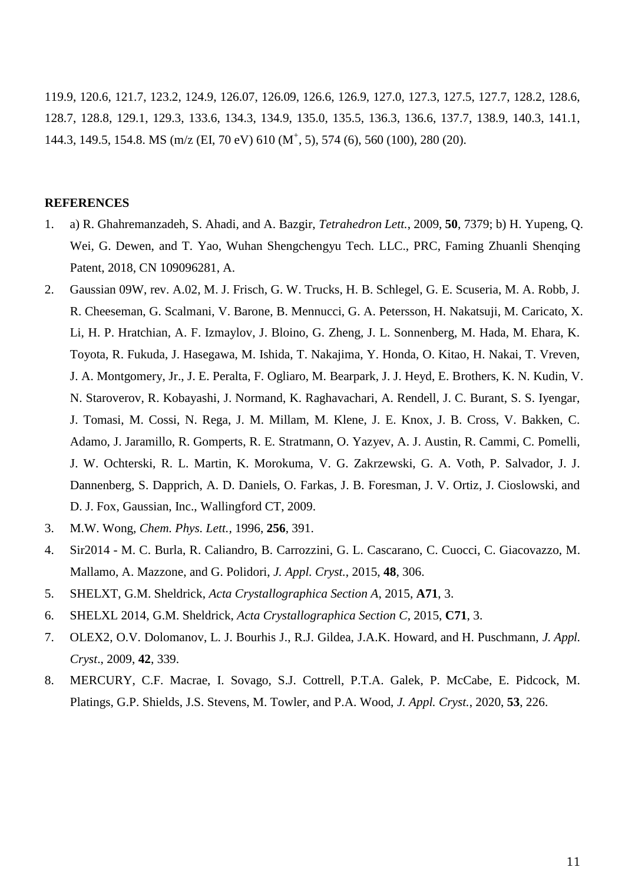119.9, 120.6, 121.7, 123.2, 124.9, 126.07, 126.09, 126.6, 126.9, 127.0, 127.3, 127.5, 127.7, 128.2, 128.6, 128.7, 128.8, 129.1, 129.3, 133.6, 134.3, 134.9, 135.0, 135.5, 136.3, 136.6, 137.7, 138.9, 140.3, 141.1, 144.3, 149.5, 154.8. MS (m/z (EI, 70 eV) 610 (M<sup>+</sup>, 5), 574 (6), 560 (100), 280 (20).

#### **REFERENCES**

- 1. a) R. Ghahremanzadeh, S. Ahadi, and A. Bazgir, *Tetrahedron Lett.*, 2009, **50**, 7379; b) H. Yupeng, Q. Wei, G. Dewen, and T. Yao, Wuhan Shengchengyu Tech. LLC., PRC, Faming Zhuanli Shenqing Patent, 2018, CN 109096281, A.
- 2. Gaussian 09W, rev. A.02, M. J. Frisch, G. W. Trucks, H. B. Schlegel, G. E. Scuseria, M. A. Robb, J. R. Cheeseman, G. Scalmani, V. Barone, B. Mennucci, G. A. Petersson, H. Nakatsuji, M. Caricato, X. Li, H. P. Hratchian, A. F. Izmaylov, J. Bloino, G. Zheng, J. L. Sonnenberg, M. Hada, M. Ehara, K. Toyota, R. Fukuda, J. Hasegawa, M. Ishida, T. Nakajima, Y. Honda, O. Kitao, H. Nakai, T. Vreven, J. A. Montgomery, Jr., J. E. Peralta, F. Ogliaro, M. Bearpark, J. J. Heyd, E. Brothers, K. N. Kudin, V. N. Staroverov, R. Kobayashi, J. Normand, K. Raghavachari, A. Rendell, J. C. Burant, S. S. Iyengar, J. Tomasi, M. Cossi, N. Rega, J. M. Millam, M. Klene, J. E. Knox, J. B. Cross, V. Bakken, C. Adamo, J. Jaramillo, R. Gomperts, R. E. Stratmann, O. Yazyev, A. J. Austin, R. Cammi, C. Pomelli, J. W. Ochterski, R. L. Martin, K. Morokuma, V. G. Zakrzewski, G. A. Voth, P. Salvador, J. J. Dannenberg, S. Dapprich, A. D. Daniels, O. Farkas, J. B. Foresman, J. V. Ortiz, J. Cioslowski, and D. J. Fox, Gaussian, Inc., Wallingford CT, 2009.
- 3. M.W. Wong, *Chem. Phys. Lett.,* 1996, **256**, 391.
- 4. Sir2014 M. C. Burla, R. Caliandro, B. Carrozzini, G. L. Cascarano, C. Cuocci, C. Giacovazzo, M. Mallamo, A. Mazzone, and G. Polidori, *J. Appl. Cryst.*, 2015, **48**, 306.
- 5. SHELXT, G.M. Sheldrick, *Acta Crystallographica Section A*, 2015, **A71**, 3.
- 6. SHELXL 2014, G.M. Sheldrick, *Acta Crystallographica Section C*, 2015, **C71**, 3.
- 7. OLEX2, O.V. Dolomanov, L. J. Bourhis J., R.J. Gildea, J.A.K. Howard, and H. Puschmann, *J. Appl. Cryst*., 2009, **42**, 339.
- 8. MERCURY, C.F. Macrae, I. Sovago, S.J. Cottrell, P.T.A. Galek, P. McCabe, E. Pidcock, M. Platings, G.P. Shields, J.S. Stevens, M. Towler, and P.A. Wood, *J. Appl. Cryst.*, 2020, **53**, 226.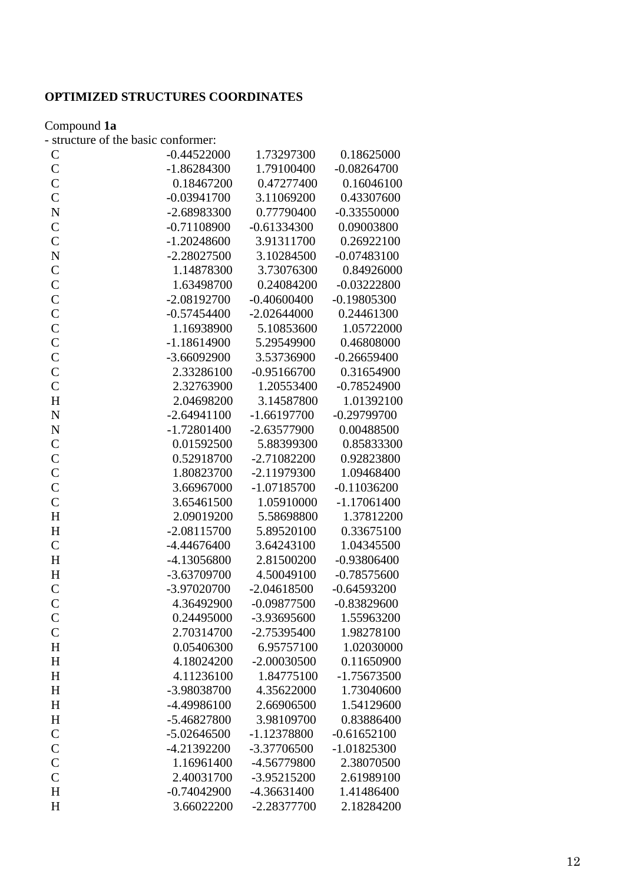# **OPTIMIZED STRUCTURES COORDINATES**

#### Compound **1a**

- structure of the basic conformer:

| $\mathsf{C}$       | $-0.44522000$ | 1.73297300    | 0.18625000    |
|--------------------|---------------|---------------|---------------|
| $\mathsf{C}$       | $-1.86284300$ | 1.79100400    | $-0.08264700$ |
| $\overline{C}$     | 0.18467200    | 0.47277400    | 0.16046100    |
| $\overline{C}$     | $-0.03941700$ | 3.11069200    | 0.43307600    |
| $\overline{\bf N}$ | -2.68983300   | 0.77790400    | $-0.33550000$ |
| $\mathsf{C}$       | $-0.71108900$ | $-0.61334300$ | 0.09003800    |
| $\mathbf C$        | $-1.20248600$ | 3.91311700    | 0.26922100    |
| $\overline{\bf N}$ | $-2.28027500$ | 3.10284500    | $-0.07483100$ |
| $\overline{C}$     | 1.14878300    | 3.73076300    | 0.84926000    |
| $\mathcal{C}$      | 1.63498700    | 0.24084200    | $-0.03222800$ |
| $\mathcal{C}$      | $-2.08192700$ | $-0.40600400$ | $-0.19805300$ |
| $\overline{C}$     | $-0.57454400$ | $-2.02644000$ | 0.24461300    |
| $\mathsf{C}$       | 1.16938900    | 5.10853600    | 1.05722000    |
| $\mathcal{C}$      | $-1.18614900$ | 5.29549900    | 0.46808000    |
| $\overline{C}$     | $-3.66092900$ | 3.53736900    | $-0.26659400$ |
| $\overline{C}$     | 2.33286100    | $-0.95166700$ | 0.31654900    |
| $\mathbf C$        | 2.32763900    | 1.20553400    | $-0.78524900$ |
| H                  | 2.04698200    | 3.14587800    | 1.01392100    |
| $\overline{\bf N}$ | $-2.64941100$ | $-1.66197700$ | $-0.29799700$ |
| $\mathbf N$        | $-1.72801400$ | $-2.63577900$ | 0.00488500    |
| $\mathbf C$        | 0.01592500    | 5.88399300    | 0.85833300    |
| $\mathsf{C}$       | 0.52918700    | $-2.71082200$ | 0.92823800    |
| $\overline{C}$     | 1.80823700    | $-2.11979300$ | 1.09468400    |
| $\mathsf{C}$       | 3.66967000    | $-1.07185700$ | $-0.11036200$ |
| $\overline{C}$     | 3.65461500    | 1.05910000    | $-1.17061400$ |
| H                  | 2.09019200    | 5.58698800    | 1.37812200    |
| H                  | $-2.08115700$ | 5.89520100    | 0.33675100    |
| $\overline{C}$     | $-4.44676400$ | 3.64243100    | 1.04345500    |
| H                  | -4.13056800   | 2.81500200    | $-0.93806400$ |
| H                  | -3.63709700   | 4.50049100    | $-0.78575600$ |
| $\mathsf{C}$       | -3.97020700   | $-2.04618500$ | $-0.64593200$ |
| $\overline{C}$     | 4.36492900    | $-0.09877500$ | $-0.83829600$ |
| $\mathsf{C}$       | 0.24495000    | -3.93695600   | 1.55963200    |
| $\mathsf{C}$       | 2.70314700    | $-2.75395400$ | 1.98278100    |
| H                  | 0.05406300    | 6.95757100    | 1.02030000    |
| H                  | 4.18024200    | $-2.00030500$ | 0.11650900    |
| H                  | 4.11236100    | 1.84775100    | -1.75673500   |
| H                  | -3.98038700   | 4.35622000    | 1.73040600    |
| H                  | -4.49986100   | 2.66906500    | 1.54129600    |
| H                  | -5.46827800   | 3.98109700    | 0.83886400    |
| $\mathbf C$        | $-5.02646500$ | $-1.12378800$ | $-0.61652100$ |
| $\mathsf{C}$       | -4.21392200   | -3.37706500   | $-1.01825300$ |
| $\mathbf C$        | 1.16961400    | -4.56779800   | 2.38070500    |
| $\overline{C}$     | 2.40031700    | -3.95215200   | 2.61989100    |
| H                  | $-0.74042900$ | $-4.36631400$ | 1.41486400    |
| H                  | 3.66022200    | -2.28377700   | 2.18284200    |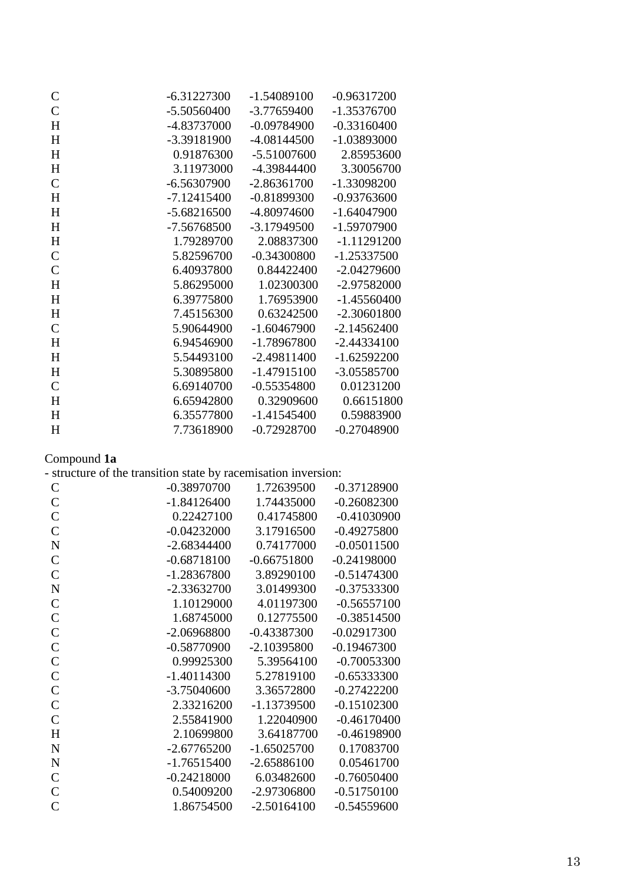| $\mathsf{C}$  | $-6.31227300$ | $-1.54089100$ | $-0.96317200$ |
|---------------|---------------|---------------|---------------|
| $\mathcal{C}$ | $-5.50560400$ | $-3.77659400$ | $-1.35376700$ |
| H             | -4.83737000   | $-0.09784900$ | $-0.33160400$ |
| H             | -3.39181900   | $-4.08144500$ | -1.03893000   |
| H             | 0.91876300    | $-5.51007600$ | 2.85953600    |
| H             | 3.11973000    | -4.39844400   | 3.30056700    |
| $\mathcal{C}$ | $-6.56307900$ | $-2.86361700$ | -1.33098200   |
| H             | $-7.12415400$ | $-0.81899300$ | $-0.93763600$ |
| H             | $-5.68216500$ | -4.80974600   | $-1.64047900$ |
| H             | -7.56768500   | -3.17949500   | -1.59707900   |
| H             | 1.79289700    | 2.08837300    | $-1.11291200$ |
| $\mathbf C$   | 5.82596700    | $-0.34300800$ | $-1.25337500$ |
| $\mathcal{C}$ | 6.40937800    | 0.84422400    | $-2.04279600$ |
| H             | 5.86295000    | 1.02300300    | -2.97582000   |
| H             | 6.39775800    | 1.76953900    | $-1.45560400$ |
| H             | 7.45156300    | 0.63242500    | $-2.30601800$ |
| $\mathcal{C}$ | 5.90644900    | $-1.60467900$ | $-2.14562400$ |
| H             | 6.94546900    | -1.78967800   | $-2.44334100$ |
| H             | 5.54493100    | $-2.49811400$ | $-1.62592200$ |
| H             | 5.30895800    | $-1.47915100$ | -3.05585700   |
| $\mathcal{C}$ | 6.69140700    | $-0.55354800$ | 0.01231200    |
| H             | 6.65942800    | 0.32909600    | 0.66151800    |
| H             | 6.35577800    | $-1.41545400$ | 0.59883900    |
| H             | 7.73618900    | $-0.72928700$ | $-0.27048900$ |

#### Compound **1a**

| $\mathcal{C}$  | $-0.38970700$ | 1.72639500    | $-0.37128900$ |
|----------------|---------------|---------------|---------------|
| $\mathsf{C}$   | $-1.84126400$ | 1.74435000    | $-0.26082300$ |
| $\mathsf{C}$   | 0.22427100    | 0.41745800    | $-0.41030900$ |
| $\mathcal{C}$  | $-0.04232000$ | 3.17916500    | $-0.49275800$ |
| $\mathbf N$    | $-2.68344400$ | 0.74177000    | $-0.05011500$ |
| $\mathcal{C}$  | $-0.68718100$ | $-0.66751800$ | $-0.24198000$ |
| $\mathsf{C}$   | $-1.28367800$ | 3.89290100    | $-0.51474300$ |
| $\mathbf N$    | $-2.33632700$ | 3.01499300    | $-0.37533300$ |
| $\mathcal{C}$  | 1.10129000    | 4.01197300    | $-0.56557100$ |
| $\mathcal{C}$  | 1.68745000    | 0.12775500    | $-0.38514500$ |
| $\mathsf{C}$   | $-2.06968800$ | $-0.43387300$ | $-0.02917300$ |
| $\mathcal{C}$  | $-0.58770900$ | $-2.10395800$ | $-0.19467300$ |
| $\overline{C}$ | 0.99925300    | 5.39564100    | $-0.70053300$ |
| $\mathcal{C}$  | $-1.40114300$ | 5.27819100    | $-0.65333300$ |
| $\mathsf{C}$   | $-3.75040600$ | 3.36572800    | $-0.27422200$ |
| $\mathcal{C}$  | 2.33216200    | -1.13739500   | $-0.15102300$ |
| $\overline{C}$ | 2.55841900    | 1.22040900    | $-0.46170400$ |
| H              | 2.10699800    | 3.64187700    | $-0.46198900$ |
| $\mathbf N$    | $-2.67765200$ | $-1.65025700$ | 0.17083700    |
| $\mathbf N$    | $-1.76515400$ | $-2.65886100$ | 0.05461700    |
| $\mathcal{C}$  | $-0.24218000$ | 6.03482600    | $-0.76050400$ |
| $\mathcal{C}$  | 0.54009200    | -2.97306800   | $-0.51750100$ |
| $\overline{C}$ | 1.86754500    | $-2.50164100$ | $-0.54559600$ |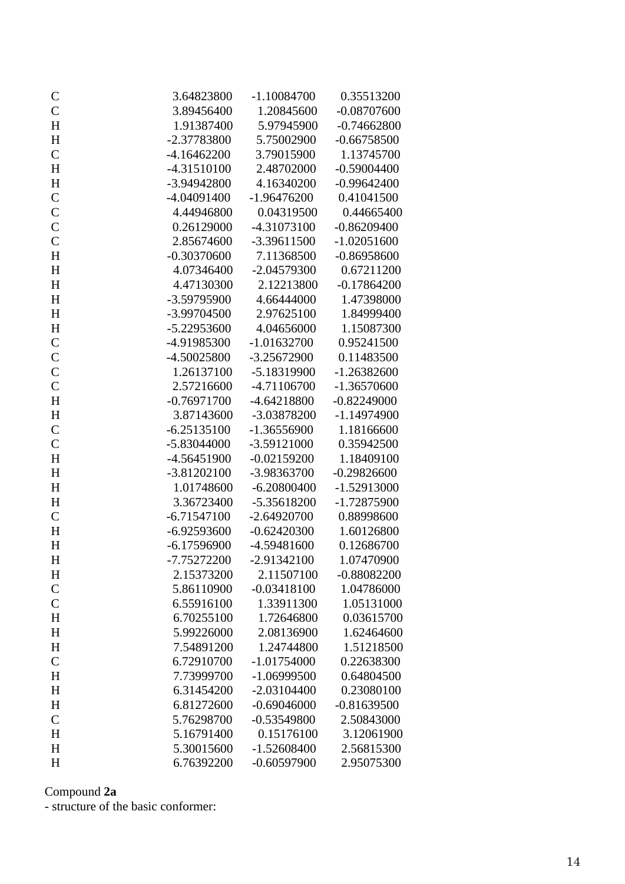| $\mathsf{C}$              | 3.64823800               | $-1.10084700$               | 0.35513200               |
|---------------------------|--------------------------|-----------------------------|--------------------------|
| $\mathsf{C}$              | 3.89456400               | 1.20845600                  | $-0.08707600$            |
| H                         | 1.91387400               | 5.97945900                  | $-0.74662800$            |
| H                         | -2.37783800              | 5.75002900                  | $-0.66758500$            |
| $\mathbf C$               | $-4.16462200$            | 3.79015900                  | 1.13745700               |
| H                         | -4.31510100              | 2.48702000                  | $-0.59004400$            |
| H                         | -3.94942800              | 4.16340200                  | $-0.99642400$            |
| $\mathbf C$               | $-4.04091400$            | $-1.96476200$               | 0.41041500               |
| $\mathsf{C}$              | 4.44946800               | 0.04319500                  | 0.44665400               |
| $\mathbf C$               | 0.26129000               | -4.31073100                 | $-0.86209400$            |
| $\mathbf C$               | 2.85674600               | $-3.39611500$               | $-1.02051600$            |
| H                         | $-0.30370600$            | 7.11368500                  | $-0.86958600$            |
| H                         | 4.07346400               | $-2.04579300$               | 0.67211200               |
| H                         | 4.47130300               | 2.12213800                  | $-0.17864200$            |
| $H_{\rm}$                 | -3.59795900              | 4.66444000                  | 1.47398000               |
| H                         | -3.99704500              | 2.97625100                  | 1.84999400               |
| $H_{\rm}$                 | -5.22953600              | 4.04656000                  | 1.15087300               |
| $\mathbf C$               | -4.91985300              | $-1.01632700$               | 0.95241500               |
| $\mathbf C$               | -4.50025800              | $-3.25672900$               | 0.11483500               |
| $\mathbf C$               | 1.26137100               | -5.18319900                 | $-1.26382600$            |
| $\mathsf{C}$              | 2.57216600               | -4.71106700                 | $-1.36570600$            |
| H                         | $-0.76971700$            | $-4.64218800$               | $-0.82249000$            |
| H                         | 3.87143600               | -3.03878200                 | $-1.14974900$            |
| $\mathbf C$               | $-6.25135100$            | $-1.36556900$               | 1.18166600               |
| $\mathbf C$               | -5.83044000              | -3.59121000                 | 0.35942500               |
| H                         | -4.56451900              | $-0.02159200$               | 1.18409100               |
| H                         | $-3.81202100$            | -3.98363700                 | $-0.29826600$            |
| H                         | 1.01748600               | $-6.20800400$               | $-1.52913000$            |
| H                         | 3.36723400               | -5.35618200                 | -1.72875900              |
| $\mathbf C$               | $-6.71547100$            | $-2.64920700$               | 0.88998600               |
| H                         | $-6.92593600$            | $-0.62420300$               | 1.60126800               |
| H                         | $-6.17596900$            | -4.59481600                 | 0.12686700               |
| H                         | -7.75272200              | $-2.91342100$               | 1.07470900               |
| H                         | 2.15373200               | 2.11507100                  | $-0.88082200$            |
| $\mathsf{C}$              | 5.86110900               | $-0.03418100$               | 1.04786000               |
| $\mathbf C$               | 6.55916100               | 1.33911300                  | 1.05131000               |
| H                         | 6.70255100               | 1.72646800                  | 0.03615700               |
| $\boldsymbol{\mathrm{H}}$ | 5.99226000<br>7.54891200 | 2.08136900                  | 1.62464600<br>1.51218500 |
| $H_{\rm}$<br>$\mathsf C$  | 6.72910700               | 1.24744800<br>$-1.01754000$ | 0.22638300               |
| H                         | 7.73999700               | $-1.06999500$               | 0.64804500               |
| $H_{\rm}$                 | 6.31454200               | $-2.03104400$               | 0.23080100               |
| H                         | 6.81272600               | $-0.69046000$               | $-0.81639500$            |
| $\mathsf{C}$              | 5.76298700               | $-0.53549800$               | 2.50843000               |
| $\boldsymbol{\mathrm{H}}$ | 5.16791400               | 0.15176100                  | 3.12061900               |
| H                         | 5.30015600               | $-1.52608400$               | 2.56815300               |
| H                         | 6.76392200               | $-0.60597900$               | 2.95075300               |
|                           |                          |                             |                          |

# Compound **2a**

- structure of the basic conformer: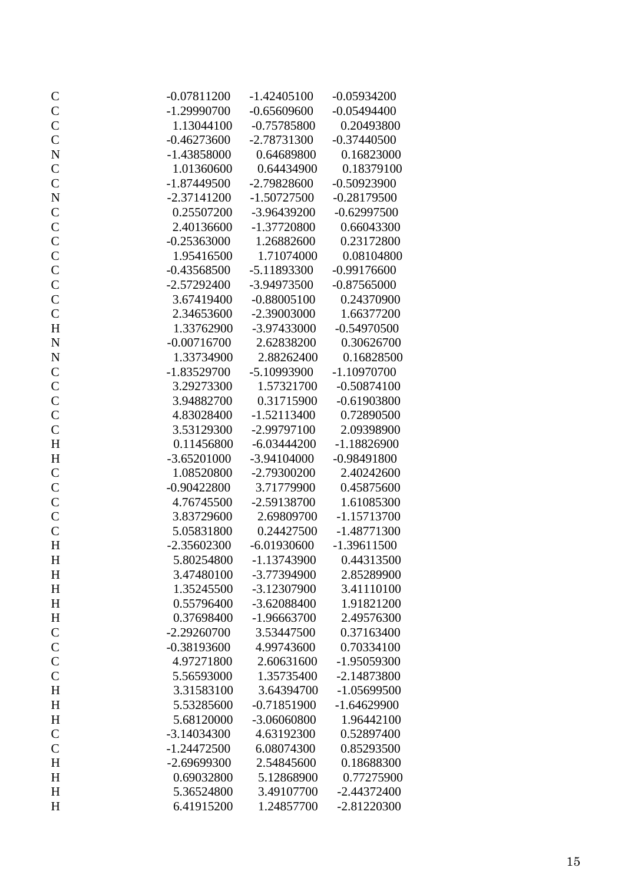| $\mathsf{C}$  | $-0.07811200$ | $-1.42405100$ | $-0.05934200$ |
|---------------|---------------|---------------|---------------|
| $\mathbf{C}$  | $-1.29990700$ | $-0.65609600$ | $-0.05494400$ |
| $\mathbf C$   | 1.13044100    | $-0.75785800$ | 0.20493800    |
| $\mathbf C$   | $-0.46273600$ | $-2.78731300$ | $-0.37440500$ |
| $\mathbf N$   | $-1.43858000$ | 0.64689800    | 0.16823000    |
| $\mathbf C$   | 1.01360600    | 0.64434900    | 0.18379100    |
| $\mathbf C$   | $-1.87449500$ | $-2.79828600$ | $-0.50923900$ |
| $\mathbf N$   | $-2.37141200$ | $-1.50727500$ | $-0.28179500$ |
| $\mathsf{C}$  | 0.25507200    | $-3.96439200$ | $-0.62997500$ |
| $\mathbf C$   | 2.40136600    | $-1.37720800$ | 0.66043300    |
| $\mathbf C$   | $-0.25363000$ | 1.26882600    | 0.23172800    |
| $\mathcal{C}$ | 1.95416500    | 1.71074000    | 0.08104800    |
| $\mathsf{C}$  | $-0.43568500$ | $-5.11893300$ | $-0.99176600$ |
| $\mathbf C$   | $-2.57292400$ | $-3.94973500$ | $-0.87565000$ |
| $\mathsf{C}$  | 3.67419400    | $-0.88005100$ | 0.24370900    |
| $\mathbf C$   | 2.34653600    | $-2.39003000$ | 1.66377200    |
| $H_{\rm}$     | 1.33762900    | $-3.97433000$ | $-0.54970500$ |
| $\mathbf N$   | $-0.00716700$ | 2.62838200    | 0.30626700    |
| $\mathbf N$   | 1.33734900    | 2.88262400    | 0.16828500    |
| $\mathbf C$   | $-1.83529700$ | $-5.10993900$ | $-1.10970700$ |
| $\mathbf C$   | 3.29273300    | 1.57321700    | $-0.50874100$ |
| $\mathbf{C}$  | 3.94882700    | 0.31715900    | $-0.61903800$ |
| $\mathbf C$   | 4.83028400    | $-1.52113400$ | 0.72890500    |
| $\mathbf C$   | 3.53129300    | $-2.99797100$ | 2.09398900    |
| $H_{\rm}$     | 0.11456800    | $-6.03444200$ | $-1.18826900$ |
| $H_{\rm}$     | $-3.65201000$ | $-3.94104000$ | $-0.98491800$ |
| $\mathbf C$   | 1.08520800    | $-2.79300200$ | 2.40242600    |
| $\mathbf C$   | $-0.90422800$ | 3.71779900    | 0.45875600    |
| $\mathbf C$   | 4.76745500    | -2.59138700   | 1.61085300    |
| $\mathsf{C}$  | 3.83729600    | 2.69809700    | $-1.15713700$ |
| $\mathbf C$   | 5.05831800    | 0.24427500    | $-1.48771300$ |
| H             | $-2.35602300$ | $-6.01930600$ | $-1.39611500$ |
| $H_{\rm}$     | 5.80254800    | $-1.13743900$ | 0.44313500    |
| H             | 3.47480100    | -3.77394900   | 2.85289900    |
| $H_{\rm}$     | 1.35245500    | -3.12307900   | 3.41110100    |
| $H_{\rm}$     | 0.55796400    | $-3.62088400$ | 1.91821200    |
| $H_{\rm}$     | 0.37698400    | $-1.96663700$ | 2.49576300    |
| $\mathbf C$   | $-2.29260700$ | 3.53447500    | 0.37163400    |
| $\mathbf C$   | $-0.38193600$ | 4.99743600    | 0.70334100    |
| $\mathbf C$   | 4.97271800    | 2.60631600    | -1.95059300   |
| $\mathbf C$   | 5.56593000    | 1.35735400    | $-2.14873800$ |
| $H_{\rm}$     | 3.31583100    | 3.64394700    | $-1.05699500$ |
| $H_{\rm}$     | 5.53285600    | $-0.71851900$ | $-1.64629900$ |
| $H_{\rm}$     | 5.68120000    | $-3.06060800$ | 1.96442100    |
| $\mathbf C$   | $-3.14034300$ | 4.63192300    | 0.52897400    |
| $\mathbf C$   | $-1.24472500$ | 6.08074300    | 0.85293500    |
| H             | $-2.69699300$ | 2.54845600    | 0.18688300    |
| H             | 0.69032800    | 5.12868900    | 0.77275900    |
| H             | 5.36524800    | 3.49107700    | $-2.44372400$ |
| H             | 6.41915200    | 1.24857700    | $-2.81220300$ |
|               |               |               |               |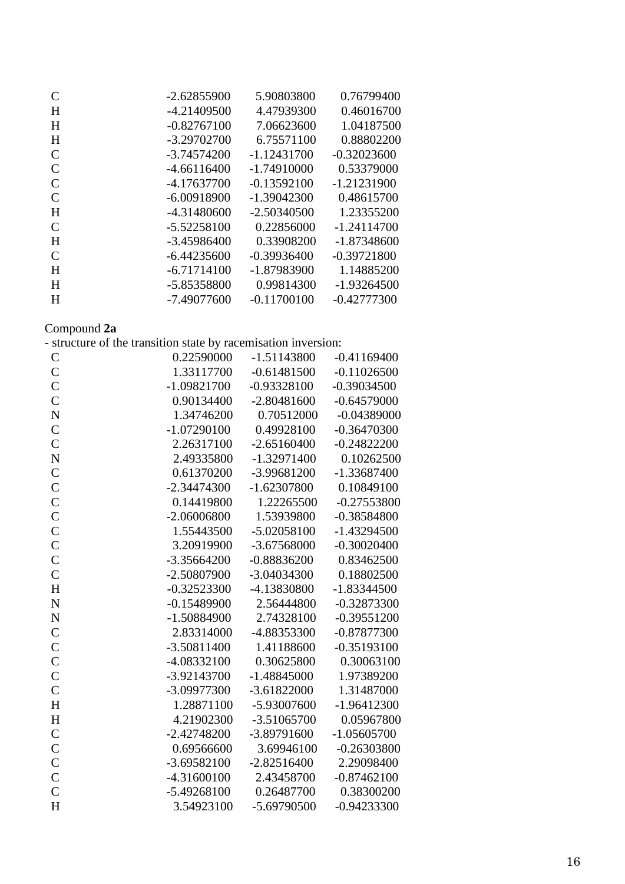| C             | $-2.62855900$ | 5.90803800    | 0.76799400    |
|---------------|---------------|---------------|---------------|
| H             | $-4.21409500$ | 4.47939300    | 0.46016700    |
| H             | $-0.82767100$ | 7.06623600    | 1.04187500    |
| H             | $-3.29702700$ | 6.75571100    | 0.88802200    |
| $\mathcal{C}$ | $-3.74574200$ | $-1.12431700$ | $-0.32023600$ |
| $\mathcal{C}$ | $-4.66116400$ | $-1.74910000$ | 0.53379000    |
| $\mathcal{C}$ | $-4.17637700$ | $-0.13592100$ | $-1.21231900$ |
| $\mathcal{C}$ | $-6.00918900$ | $-1.39042300$ | 0.48615700    |
| H             | $-4.31480600$ | $-2.50340500$ | 1.23355200    |
| $\mathcal{C}$ | $-5.52258100$ | 0.22856000    | -1.24114700   |
| H             | $-3.45986400$ | 0.33908200    | $-1.87348600$ |
| $\mathcal{C}$ | $-6.44235600$ | $-0.39936400$ | $-0.39721800$ |
| H             | $-6.71714100$ | -1.87983900   | 1.14885200    |
| H             | -5.85358800   | 0.99814300    | $-1.93264500$ |
| H             | -7.49077600   | $-0.11700100$ | $-0.42777300$ |
|               |               |               |               |

# Compound **2a**

|  |  |  | - structure of the transition state by racemisation inversion: |  |
|--|--|--|----------------------------------------------------------------|--|

| $\mathsf{C}$       | 0.22590000    | $-1.51143800$ | $-0.41169400$ |
|--------------------|---------------|---------------|---------------|
| $\mathsf{C}$       | 1.33117700    | $-0.61481500$ | $-0.11026500$ |
| $\mathbf C$        | $-1.09821700$ | $-0.93328100$ | $-0.39034500$ |
| $\mathsf{C}$       | 0.90134400    | $-2.80481600$ | $-0.64579000$ |
| $\mathbf N$        | 1.34746200    | 0.70512000    | $-0.04389000$ |
| $\mathsf{C}$       | $-1.07290100$ | 0.49928100    | $-0.36470300$ |
| $\mathsf{C}$       | 2.26317100    | $-2.65160400$ | $-0.24822200$ |
| $\overline{\bf N}$ | 2.49335800    | $-1.32971400$ | 0.10262500    |
| $\mathsf{C}$       | 0.61370200    | -3.99681200   | $-1.33687400$ |
| $\mathbf C$        | $-2.34474300$ | $-1.62307800$ | 0.10849100    |
| $\mathbf C$        | 0.14419800    | 1.22265500    | $-0.27553800$ |
| $\mathsf{C}$       | $-2.06006800$ | 1.53939800    | $-0.38584800$ |
| $\mathbf C$        | 1.55443500    | $-5.02058100$ | $-1.43294500$ |
| $\mathsf{C}$       | 3.20919900    | -3.67568000   | $-0.30020400$ |
| $\mathsf{C}$       | $-3.35664200$ | $-0.88836200$ | 0.83462500    |
| $\mathsf{C}$       | -2.50807900   | $-3.04034300$ | 0.18802500    |
| $\overline{H}$     | $-0.32523300$ | -4.13830800   | $-1.83344500$ |
| $\mathbf N$        | $-0.15489900$ | 2.56444800    | $-0.32873300$ |
| $\mathbf N$        | $-1.50884900$ | 2.74328100    | $-0.39551200$ |
| $\mathbf C$        | 2.83314000    | -4.88353300   | $-0.87877300$ |
| $\mathsf{C}$       | $-3.50811400$ | 1.41188600    | $-0.35193100$ |
| $\mathbf C$        | -4.08332100   | 0.30625800    | 0.30063100    |
| $\mathsf{C}$       | -3.92143700   | $-1.48845000$ | 1.97389200    |
| $\mathsf{C}$       | -3.09977300   | $-3.61822000$ | 1.31487000    |
| H                  | 1.28871100    | -5.93007600   | $-1.96412300$ |
| $H_{\rm}$          | 4.21902300    | $-3.51065700$ | 0.05967800    |
| $\mathbf C$        | $-2.42748200$ | -3.89791600   | $-1.05605700$ |
| $\mathbf C$        | 0.69566600    | 3.69946100    | $-0.26303800$ |
| $\mathbf C$        | $-3.69582100$ | $-2.82516400$ | 2.29098400    |
| $\mathsf{C}$       | $-4.31600100$ | 2.43458700    | $-0.87462100$ |
| $\overline{C}$     | $-5.49268100$ | 0.26487700    | 0.38300200    |
| H                  | 3.54923100    | -5.69790500   | $-0.94233300$ |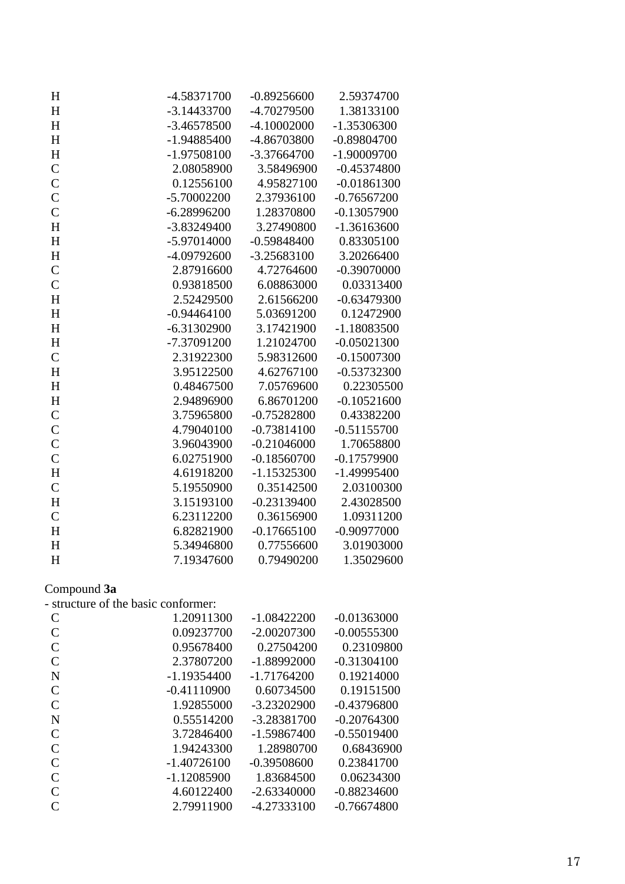| H              | -4.58371700                         | $-0.89256600$ | 2.59374700    |  |
|----------------|-------------------------------------|---------------|---------------|--|
| H              | $-3.14433700$                       | -4.70279500   | 1.38133100    |  |
| H              | $-3.46578500$                       | $-4.10002000$ | $-1.35306300$ |  |
| H              | $-1.94885400$                       | -4.86703800   | $-0.89804700$ |  |
| H              | $-1.97508100$                       | $-3.37664700$ | $-1.90009700$ |  |
| $\mathsf{C}$   | 2.08058900                          | 3.58496900    | $-0.45374800$ |  |
| $\mathcal{C}$  | 0.12556100                          | 4.95827100    | $-0.01861300$ |  |
| $\mathcal{C}$  | $-5.70002200$                       | 2.37936100    | $-0.76567200$ |  |
| $\mathcal{C}$  | $-6.28996200$                       | 1.28370800    | $-0.13057900$ |  |
| H              | $-3.83249400$                       | 3.27490800    | $-1.36163600$ |  |
| H              | -5.97014000                         | $-0.59848400$ | 0.83305100    |  |
| H              | -4.09792600                         | $-3.25683100$ | 3.20266400    |  |
| $\mathsf{C}$   | 2.87916600                          | 4.72764600    | $-0.39070000$ |  |
| $\mathcal{C}$  | 0.93818500                          | 6.08863000    | 0.03313400    |  |
| H              | 2.52429500                          | 2.61566200    | $-0.63479300$ |  |
| H              | $-0.94464100$                       | 5.03691200    | 0.12472900    |  |
| H              | $-6.31302900$                       | 3.17421900    | $-1.18083500$ |  |
| H              | -7.37091200                         | 1.21024700    | $-0.05021300$ |  |
| $\mathcal{C}$  | 2.31922300                          | 5.98312600    | $-0.15007300$ |  |
| H              | 3.95122500                          | 4.62767100    | $-0.53732300$ |  |
| H              | 0.48467500                          | 7.05769600    | 0.22305500    |  |
| H              | 2.94896900                          | 6.86701200    | $-0.10521600$ |  |
| $\mathsf{C}$   | 3.75965800                          | $-0.75282800$ | 0.43382200    |  |
| $\overline{C}$ | 4.79040100                          | $-0.73814100$ | $-0.51155700$ |  |
| $\overline{C}$ | 3.96043900                          | $-0.21046000$ | 1.70658800    |  |
| $\mathcal{C}$  | 6.02751900                          | $-0.18560700$ | $-0.17579900$ |  |
| H              | 4.61918200                          | $-1.15325300$ | $-1.49995400$ |  |
| $\mathsf{C}$   | 5.19550900                          | 0.35142500    | 2.03100300    |  |
| H              | 3.15193100                          | $-0.23139400$ | 2.43028500    |  |
| $\mathcal{C}$  | 6.23112200                          | 0.36156900    | 1.09311200    |  |
| $H_{\rm}$      | 6.82821900                          | $-0.17665100$ | $-0.90977000$ |  |
| H              | 5.34946800                          | 0.77556600    | 3.01903000    |  |
| $\mathbf H$    | 7.19347600                          | 0.79490200    | 1.35029600    |  |
|                |                                     |               |               |  |
| Compound 3a    | - structure of the basic conformer: |               |               |  |
| $\mathcal{C}$  | 1.20911300                          | $-1.08422200$ | $-0.01363000$ |  |
| $\mathsf{C}$   | 0.09237700                          | $-2.00207300$ | $-0.00555300$ |  |
| $\mathbf C$    | 0.95678400                          | 0.27504200    | 0.23109800    |  |
| $\overline{C}$ | 2.37807200                          | $-1.88992000$ | $-0.31304100$ |  |
| $\mathbf N$    | $-1.19354400$                       | $-1.71764200$ | 0.19214000    |  |
| $\mathsf{C}$   | $-0.41110900$                       | 0.60734500    | 0.19151500    |  |
| $\overline{C}$ | 1.92855000                          | $-3.23202900$ | $-0.43796800$ |  |
| $\overline{N}$ | 0.55514200                          | -3.28381700   | $-0.20764300$ |  |
| $\mathsf{C}$   | 3.72846400                          | $-1.59867400$ | $-0.55019400$ |  |
| $\mathbf C$    | 1.94243300                          | 1.28980700    | 0.68436900    |  |
| $\overline{C}$ | $-1.40726100$                       | $-0.39508600$ | 0.23841700    |  |
| $\overline{C}$ | $-1.12085900$                       | 1.83684500    | 0.06234300    |  |
| $\overline{C}$ | 4.60122400                          | $-2.63340000$ | $-0.88234600$ |  |
| $\overline{C}$ | 2.79911900                          | -4.27333100   | $-0.76674800$ |  |
|                |                                     |               |               |  |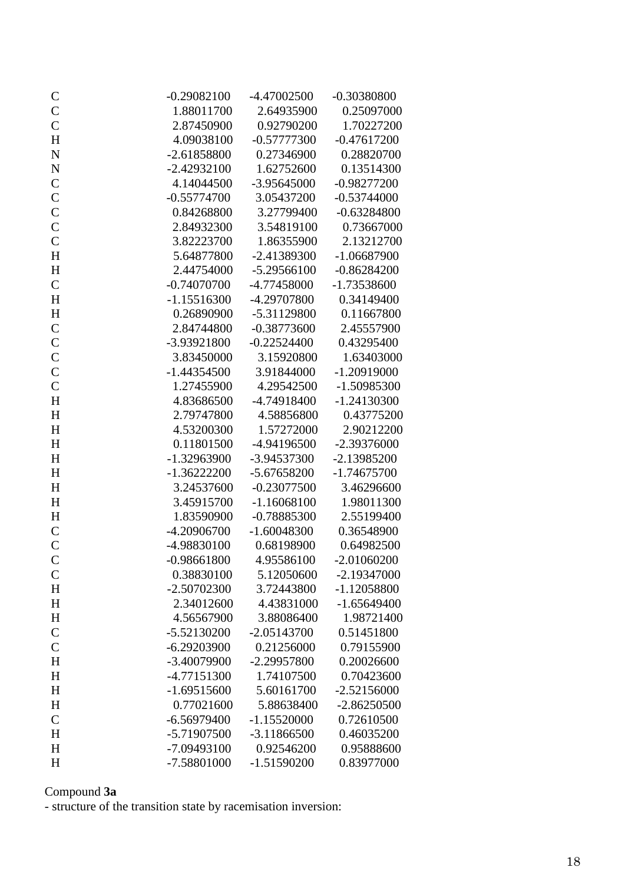| $\mathsf{C}$   | $-0.29082100$ | -4.47002500   | $-0.30380800$ |
|----------------|---------------|---------------|---------------|
| $\mathsf{C}$   | 1.88011700    | 2.64935900    | 0.25097000    |
| $\mathsf{C}$   | 2.87450900    | 0.92790200    | 1.70227200    |
| H              | 4.09038100    | $-0.57777300$ | $-0.47617200$ |
| $\overline{N}$ | $-2.61858800$ | 0.27346900    | 0.28820700    |
| $\mathbf N$    | $-2.42932100$ | 1.62752600    | 0.13514300    |
| $\mathbf C$    | 4.14044500    | $-3.95645000$ | $-0.98277200$ |
| $\mathsf{C}$   | $-0.55774700$ | 3.05437200    | $-0.53744000$ |
| $\mathbf C$    | 0.84268800    | 3.27799400    | $-0.63284800$ |
| $\mathbf C$    | 2.84932300    | 3.54819100    | 0.73667000    |
| $\mathbf C$    | 3.82223700    | 1.86355900    | 2.13212700    |
| H              | 5.64877800    | $-2.41389300$ | $-1.06687900$ |
| H              | 2.44754000    | $-5.29566100$ | $-0.86284200$ |
| $\mathsf C$    | $-0.74070700$ | -4.77458000   | $-1.73538600$ |
| H              | $-1.15516300$ | -4.29707800   | 0.34149400    |
| $H_{\rm}$      | 0.26890900    | $-5.31129800$ | 0.11667800    |
| $\mathbf C$    | 2.84744800    | $-0.38773600$ | 2.45557900    |
| $\mathsf{C}$   | -3.93921800   | $-0.22524400$ | 0.43295400    |
| $\mathsf{C}$   | 3.83450000    | 3.15920800    | 1.63403000    |
| $\mathbf C$    | $-1.44354500$ | 3.91844000    | $-1.20919000$ |
| $\mathsf{C}$   | 1.27455900    | 4.29542500    | -1.50985300   |
| $H_{\rm}$      | 4.83686500    | -4.74918400   | $-1.24130300$ |
| H              | 2.79747800    | 4.58856800    | 0.43775200    |
| H              | 4.53200300    | 1.57272000    | 2.90212200    |
| H              | 0.11801500    | -4.94196500   | -2.39376000   |
| H              | $-1.32963900$ | -3.94537300   | $-2.13985200$ |
| H              | $-1.36222200$ | $-5.67658200$ | $-1.74675700$ |
| H              | 3.24537600    | $-0.23077500$ | 3.46296600    |
| $H_{\rm}$      | 3.45915700    | $-1.16068100$ | 1.98011300    |
| H              | 1.83590900    | $-0.78885300$ | 2.55199400    |
| $\mathcal{C}$  | $-4.20906700$ | $-1.60048300$ | 0.36548900    |
| $\overline{C}$ | -4.98830100   | 0.68198900    | 0.64982500    |
| $\mathcal{C}$  | $-0.98661800$ | 4.95586100    | $-2.01060200$ |
| $\mathcal{C}$  | 0.38830100    | 5.12050600    | $-2.19347000$ |
| H              | $-2.50702300$ | 3.72443800    | $-1.12058800$ |
| H              | 2.34012600    | 4.43831000    | $-1.65649400$ |
| $H_{\rm}$      | 4.56567900    | 3.88086400    | 1.98721400    |
| ${\bf C}$      | $-5.52130200$ | $-2.05143700$ | 0.51451800    |
| $\mathsf{C}$   | $-6.29203900$ | 0.21256000    | 0.79155900    |
| H              | -3.40079900   | -2.29957800   | 0.20026600    |
| H              | -4.77151300   | 1.74107500    | 0.70423600    |
| H              | $-1.69515600$ | 5.60161700    | $-2.52156000$ |
| H              | 0.77021600    | 5.88638400    | $-2.86250500$ |
| $\mathsf{C}$   | $-6.56979400$ | $-1.15520000$ | 0.72610500    |
| H              | -5.71907500   | $-3.11866500$ | 0.46035200    |
| H              | -7.09493100   | 0.92546200    | 0.95888600    |
| H              | -7.58801000   | $-1.51590200$ | 0.83977000    |

#### Compound **3a**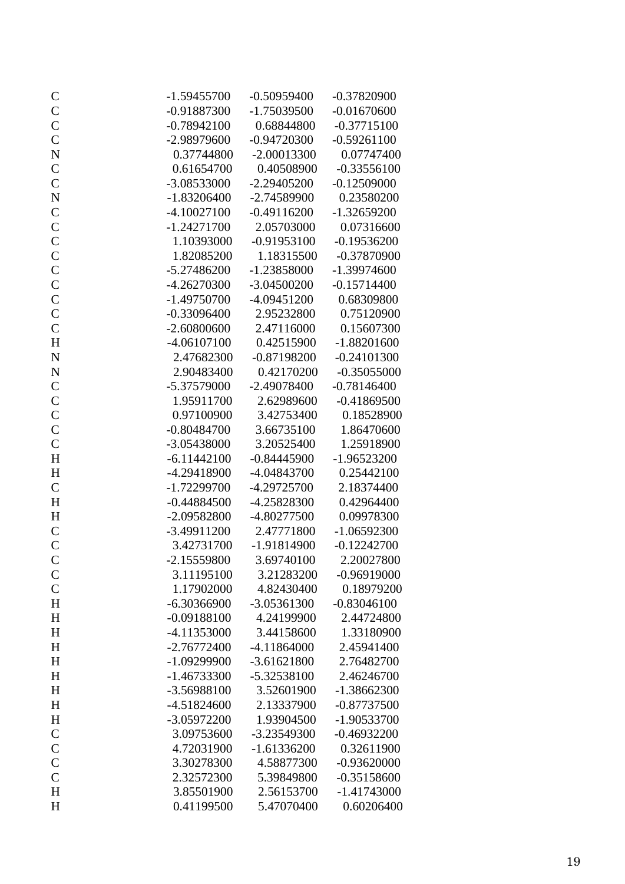| $\mathsf{C}$                | $-1.59455700$ | $-0.50959400$ | $-0.37820900$ |
|-----------------------------|---------------|---------------|---------------|
| $\frac{C}{C}$               | $-0.91887300$ | $-1.75039500$ | $-0.01670600$ |
|                             | $-0.78942100$ | 0.68844800    | $-0.37715100$ |
| $\mathbf C$                 | -2.98979600   | $-0.94720300$ | $-0.59261100$ |
| $\mathbf N$                 | 0.37744800    | $-2.00013300$ | 0.07747400    |
| $\mathsf{C}$                | 0.61654700    | 0.40508900    | $-0.33556100$ |
| $\mathsf{C}$                | $-3.08533000$ | $-2.29405200$ | $-0.12509000$ |
| $\mathbf N$                 | $-1.83206400$ | $-2.74589900$ | 0.23580200    |
| $\mathbf C$                 | $-4.10027100$ | $-0.49116200$ | $-1.32659200$ |
| $\mathsf{C}$                | $-1.24271700$ | 2.05703000    | 0.07316600    |
| $\mathbf C$                 | 1.10393000    | $-0.91953100$ | $-0.19536200$ |
| $\mathcal{C}$               | 1.82085200    | 1.18315500    | $-0.37870900$ |
| $\mathsf{C}$                | $-5.27486200$ | $-1.23858000$ | $-1.39974600$ |
| $\mathbf C$                 | $-4.26270300$ | $-3.04500200$ | $-0.15714400$ |
| $\mathbf C$                 | $-1.49750700$ | $-4.09451200$ | 0.68309800    |
| $\mathbf C$                 | $-0.33096400$ | 2.95232800    | 0.75120900    |
| $\mathsf{C}$                | $-2.60800600$ | 2.47116000    | 0.15607300    |
| H                           | $-4.06107100$ | 0.42515900    | $-1.88201600$ |
| ${\bf N}$                   | 2.47682300    | $-0.87198200$ | $-0.24101300$ |
| $\mathbf N$                 | 2.90483400    | 0.42170200    | $-0.35055000$ |
| $\mathbf C$                 | -5.37579000   | $-2.49078400$ | $-0.78146400$ |
| $\mathbf C$                 | 1.95911700    | 2.62989600    | $-0.41869500$ |
| $\mathsf{C}$                | 0.97100900    | 3.42753400    | 0.18528900    |
| $\mathbf C$                 | $-0.80484700$ | 3.66735100    | 1.86470600    |
| $\mathbf C$                 | -3.05438000   | 3.20525400    | 1.25918900    |
| H                           | $-6.11442100$ | $-0.84445900$ | $-1.96523200$ |
| $H_{\rm}$                   | -4.29418900   | -4.04843700   | 0.25442100    |
| $\mathsf C$                 | $-1.72299700$ | $-4.29725700$ | 2.18374400    |
| H                           | $-0.44884500$ | -4.25828300   | 0.42964400    |
| $H_{\rm}$                   | $-2.09582800$ | -4.80277500   | 0.09978300    |
| $\mathsf C$                 | $-3.49911200$ | 2.47771800    | $-1.06592300$ |
| $\mathsf{C}$                | 3.42731700    | $-1.91814900$ | $-0.12242700$ |
| $\mathsf{C}$                | $-2.15559800$ | 3.69740100    | 2.20027800    |
|                             | 3.11195100    | 3.21283200    | $-0.96919000$ |
| $\mathsf{C}$<br>$\mathbf C$ | 1.17902000    | 4.82430400    | 0.18979200    |
| $H_{\rm}$                   | $-6.30366900$ | $-3.05361300$ | $-0.83046100$ |
|                             | $-0.09188100$ | 4.24199900    | 2.44724800    |
| H                           | $-4.11353000$ |               |               |
| H                           |               | 3.44158600    | 1.33180900    |
| H                           | $-2.76772400$ | $-4.11864000$ | 2.45941400    |
| $H_{\rm}$                   | $-1.09299900$ | $-3.61621800$ | 2.76482700    |
| $H_{\rm}$                   | $-1.46733300$ | -5.32538100   | 2.46246700    |
| $H_{\rm}$                   | -3.56988100   | 3.52601900    | $-1.38662300$ |
| $H_{\rm}$                   | $-4.51824600$ | 2.13337900    | $-0.87737500$ |
| $H_{\rm}$                   | -3.05972200   | 1.93904500    | -1.90533700   |
| $\mathbf C$                 | 3.09753600    | -3.23549300   | $-0.46932200$ |
| $\mathbf C$                 | 4.72031900    | $-1.61336200$ | 0.32611900    |
| $\mathbf C$                 | 3.30278300    | 4.58877300    | $-0.93620000$ |
| $\mathcal{C}$               | 2.32572300    | 5.39849800    | $-0.35158600$ |
| H                           | 3.85501900    | 2.56153700    | $-1.41743000$ |
| H                           | 0.41199500    | 5.47070400    | 0.60206400    |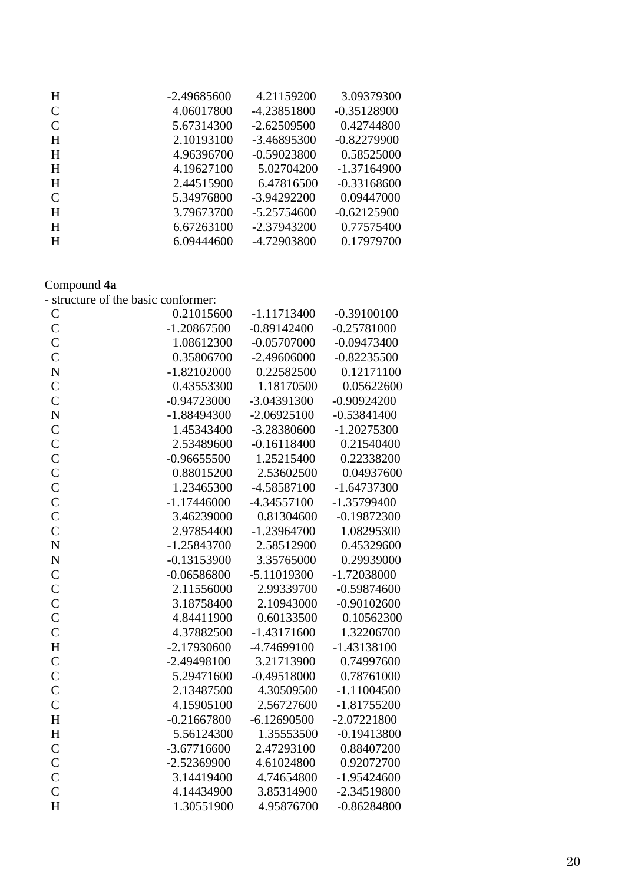| H | $-2.49685600$ | 4.21159200    | 3.09379300    |
|---|---------------|---------------|---------------|
|   |               |               |               |
| C | 4.06017800    | -4.23851800   | $-0.35128900$ |
| C | 5.67314300    | $-2.62509500$ | 0.42744800    |
| H | 2.10193100    | $-3.46895300$ | $-0.82279900$ |
| H | 4.96396700    | $-0.59023800$ | 0.58525000    |
| H | 4.19627100    | 5.02704200    | $-1.37164900$ |
| H | 2.44515900    | 6.47816500    | $-0.33168600$ |
| C | 5.34976800    | $-3.94292200$ | 0.09447000    |
| H | 3.79673700    | -5.25754600   | $-0.62125900$ |
| H | 6.67263100    | $-2.37943200$ | 0.77575400    |
| H | 6.09444600    | -4.72903800   | 0.17979700    |
|   |               |               |               |

#### Compound **4a**

|                    | - structure of the basic conformer: |               |               |
|--------------------|-------------------------------------|---------------|---------------|
| $\mathcal{C}$      | 0.21015600                          | $-1.11713400$ | $-0.39100100$ |
| $\mathsf{C}$       | $-1.20867500$                       | $-0.89142400$ | $-0.25781000$ |
| $\overline{C}$     | 1.08612300                          | $-0.05707000$ | $-0.09473400$ |
| $\overline{C}$     | 0.35806700                          | $-2.49606000$ | $-0.82235500$ |
| $\overline{\rm N}$ | $-1.82102000$                       | 0.22582500    | 0.12171100    |
| $\overline{C}$     | 0.43553300                          | 1.18170500    | 0.05622600    |
| $\overline{C}$     | $-0.94723000$                       | -3.04391300   | $-0.90924200$ |
| $\overline{N}$     | $-1.88494300$                       | $-2.06925100$ | $-0.53841400$ |
| $\overline{C}$     | 1.45343400                          | -3.28380600   | $-1.20275300$ |
| $\mathsf{C}$       | 2.53489600                          | $-0.16118400$ | 0.21540400    |
| $\overline{C}$     | $-0.96655500$                       | 1.25215400    | 0.22338200    |
| $\mathbf C$        | 0.88015200                          | 2.53602500    | 0.04937600    |
| $\mathbf C$        | 1.23465300                          | -4.58587100   | $-1.64737300$ |
| $\mathbf C$        | $-1.17446000$                       | $-4.34557100$ | $-1.35799400$ |
| $\overline{C}$     | 3.46239000                          | 0.81304600    | $-0.19872300$ |
| $\overline{C}$     | 2.97854400                          | $-1.23964700$ | 1.08295300    |
| $\overline{N}$     | $-1.25843700$                       | 2.58512900    | 0.45329600    |
| $\overline{\rm N}$ | $-0.13153900$                       | 3.35765000    | 0.29939000    |
| $\overline{C}$     | $-0.06586800$                       | $-5.11019300$ | $-1.72038000$ |
| $\mathsf{C}$       | 2.11556000                          | 2.99339700    | $-0.59874600$ |
| $\overline{C}$     | 3.18758400                          | 2.10943000    | $-0.90102600$ |
| $\overline{C}$     | 4.84411900                          | 0.60133500    | 0.10562300    |
| $\overline{C}$     | 4.37882500                          | $-1.43171600$ | 1.32206700    |
| H                  | $-2.17930600$                       | -4.74699100   | $-1.43138100$ |
| $\mathsf{C}$       | -2.49498100                         | 3.21713900    | 0.74997600    |
| $\mathbf C$        | 5.29471600                          | $-0.49518000$ | 0.78761000    |
| $\overline{C}$     | 2.13487500                          | 4.30509500    | $-1.11004500$ |
| $\overline{C}$     | 4.15905100                          | 2.56727600    | $-1.81755200$ |
| H                  | $-0.21667800$                       | $-6.12690500$ | $-2.07221800$ |
| H                  | 5.56124300                          | 1.35553500    | $-0.19413800$ |
| $\overline{C}$     | $-3.67716600$                       | 2.47293100    | 0.88407200    |
| $\overline{C}$     | $-2.52369900$                       | 4.61024800    | 0.92072700    |
| $\overline{C}$     | 3.14419400                          | 4.74654800    | $-1.95424600$ |
| $\overline{C}$     | 4.14434900                          | 3.85314900    | $-2.34519800$ |
| H                  | 1.30551900                          | 4.95876700    | $-0.86284800$ |
|                    |                                     |               |               |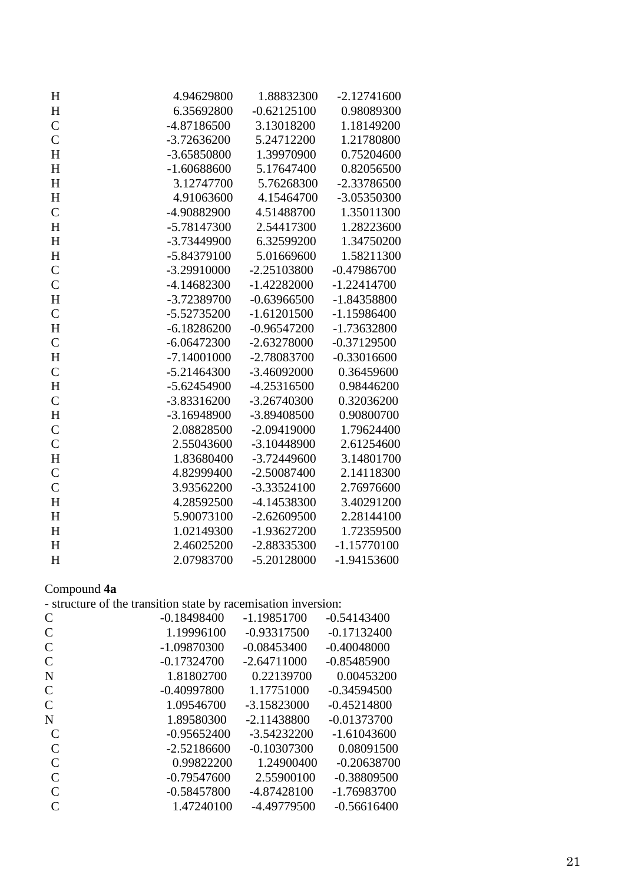| H                         | 4.94629800    | 1.88832300    | $-2.12741600$ |
|---------------------------|---------------|---------------|---------------|
| H                         | 6.35692800    | $-0.62125100$ | 0.98089300    |
| $\mathbf C$               | -4.87186500   | 3.13018200    | 1.18149200    |
| $\mathbf C$               | $-3.72636200$ | 5.24712200    | 1.21780800    |
| H                         | -3.65850800   | 1.39970900    | 0.75204600    |
| H                         | $-1.60688600$ | 5.17647400    | 0.82056500    |
| $H_{\rm}$                 | 3.12747700    | 5.76268300    | -2.33786500   |
| H                         | 4.91063600    | 4.15464700    | -3.05350300   |
| $\mathsf{C}$              | -4.90882900   | 4.51488700    | 1.35011300    |
| $H_{\rm}$                 | $-5.78147300$ | 2.54417300    | 1.28223600    |
| H                         | -3.73449900   | 6.32599200    | 1.34750200    |
| $H_{\rm}$                 | -5.84379100   | 5.01669600    | 1.58211300    |
| $\mathbf C$               | -3.29910000   | $-2.25103800$ | $-0.47986700$ |
| $\mathsf{C}$              | $-4.14682300$ | $-1.42282000$ | $-1.22414700$ |
| H                         | -3.72389700   | $-0.63966500$ | $-1.84358800$ |
| $\mathbf C$               | -5.52735200   | $-1.61201500$ | $-1.15986400$ |
| H                         | $-6.18286200$ | $-0.96547200$ | -1.73632800   |
| $\mathsf{C}$              | $-6.06472300$ | $-2.63278000$ | $-0.37129500$ |
| H                         | $-7.14001000$ | -2.78083700   | $-0.33016600$ |
| $\mathbf C$               | $-5.21464300$ | $-3.46092000$ | 0.36459600    |
| $\boldsymbol{\mathrm{H}}$ | $-5.62454900$ | $-4.25316500$ | 0.98446200    |
| $\mathsf{C}$              | $-3.83316200$ | $-3.26740300$ | 0.32036200    |
| H                         | $-3.16948900$ | -3.89408500   | 0.90800700    |
| $\mathsf{C}$              | 2.08828500    | $-2.09419000$ | 1.79624400    |
| $\mathsf{C}$              | 2.55043600    | -3.10448900   | 2.61254600    |
| H                         | 1.83680400    | $-3.72449600$ | 3.14801700    |
| $\mathbf C$               | 4.82999400    | $-2.50087400$ | 2.14118300    |
| $\mathsf{C}$              | 3.93562200    | $-3.33524100$ | 2.76976600    |
| H                         | 4.28592500    | -4.14538300   | 3.40291200    |
| H                         | 5.90073100    | $-2.62609500$ | 2.28144100    |
| H                         | 1.02149300    | $-1.93627200$ | 1.72359500    |
| H                         | 2.46025200    | -2.88335300   | $-1.15770100$ |
| H                         | 2.07983700    | $-5.20128000$ | $-1.94153600$ |

#### Compound **4a**

| $\overline{C}$ | $-0.18498400$ | $-1.19851700$ | $-0.54143400$ |
|----------------|---------------|---------------|---------------|
| $\overline{C}$ | 1.19996100    | $-0.93317500$ | $-0.17132400$ |
| $\mathsf{C}$   | -1.09870300   | $-0.08453400$ | $-0.40048000$ |
| $\overline{C}$ | $-0.17324700$ | $-2.64711000$ | $-0.85485900$ |
| N              | 1.81802700    | 0.22139700    | 0.00453200    |
| $\mathsf{C}$   | $-0.40997800$ | 1.17751000    | $-0.34594500$ |
| $\overline{C}$ | 1.09546700    | $-3.15823000$ | $-0.45214800$ |
| N              | 1.89580300    | $-2.11438800$ | $-0.01373700$ |
| $\mathsf{C}$   | $-0.95652400$ | $-3.54232200$ | $-1.61043600$ |
| $\mathcal{C}$  | $-2.52186600$ | $-0.10307300$ | 0.08091500    |
| $\mathcal{C}$  | 0.99822200    | 1.24900400    | $-0.20638700$ |
| $\mathsf{C}$   | $-0.79547600$ | 2.55900100    | $-0.38809500$ |
| $\mathcal{C}$  | $-0.58457800$ | -4.87428100   | -1.76983700   |
| $\mathsf{C}$   | 1.47240100    | $-4.49779500$ | $-0.56616400$ |
|                |               |               |               |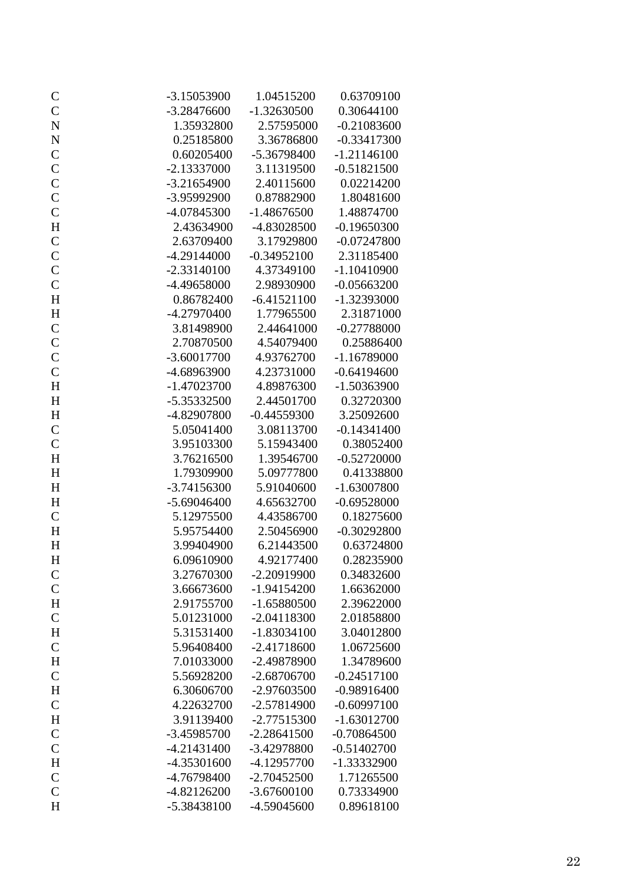| $\mathsf{C}$                 | $-3.15053900$ | 1.04515200    | 0.63709100    |
|------------------------------|---------------|---------------|---------------|
| $\mathcal{C}$                | $-3.28476600$ | $-1.32630500$ | 0.30644100    |
| $\overline{\bf N}$           | 1.35932800    | 2.57595000    | $-0.21083600$ |
|                              | 0.25185800    | 3.36786800    | $-0.33417300$ |
| $\mathbf N$<br>$\mathcal{C}$ | 0.60205400    | -5.36798400   | $-1.21146100$ |
|                              | $-2.13337000$ | 3.11319500    | $-0.51821500$ |
| $\mathcal{C}$                |               |               | 0.02214200    |
| $\mathbf{C}$                 | $-3.21654900$ | 2.40115600    |               |
| $\mathcal{C}$                | -3.95992900   | 0.87882900    | 1.80481600    |
| $\mathcal{C}$                | -4.07845300   | $-1.48676500$ | 1.48874700    |
| $\mathbf H$                  | 2.43634900    | -4.83028500   | $-0.19650300$ |
| $\mathsf{C}$                 | 2.63709400    | 3.17929800    | $-0.07247800$ |
| $\mathbf{C}$                 | $-4.29144000$ | $-0.34952100$ | 2.31185400    |
| $\mathcal{C}$                | $-2.33140100$ | 4.37349100    | $-1.10410900$ |
| $\mathbf C$                  | -4.49658000   | 2.98930900    | $-0.05663200$ |
| $\mathbf H$                  | 0.86782400    | $-6.41521100$ | -1.32393000   |
| $\mathbf H$                  | -4.27970400   | 1.77965500    | 2.31871000    |
| $\mathcal{C}$                | 3.81498900    | 2.44641000    | $-0.27788000$ |
| $\mathcal{C}$                | 2.70870500    | 4.54079400    | 0.25886400    |
| $\mathcal{C}$                | $-3.60017700$ | 4.93762700    | $-1.16789000$ |
| $\mathcal{C}$                | -4.68963900   | 4.23731000    | $-0.64194600$ |
| $H_{\rm}$                    | $-1.47023700$ | 4.89876300    | $-1.50363900$ |
| $H_{\rm}$                    | -5.35332500   | 2.44501700    | 0.32720300    |
| $\boldsymbol{\mathrm{H}}$    | -4.82907800   | $-0.44559300$ | 3.25092600    |
| $\mathsf{C}$                 | 5.05041400    | 3.08113700    | $-0.14341400$ |
| $\mathsf{C}$                 | 3.95103300    | 5.15943400    | 0.38052400    |
| $\boldsymbol{\mathrm{H}}$    | 3.76216500    | 1.39546700    | $-0.52720000$ |
| $H_{\rm}$                    | 1.79309900    | 5.09777800    | 0.41338800    |
| $\mathbf H$                  | $-3.74156300$ | 5.91040600    | $-1.63007800$ |
| $\mathbf H$                  | $-5.69046400$ | 4.65632700    | $-0.69528000$ |
| $\mathbf C$                  | 5.12975500    | 4.43586700    | 0.18275600    |
| $H_{\rm}$                    | 5.95754400    | 2.50456900    | $-0.30292800$ |
| H                            | 3.99404900    | 6.21443500    | 0.63724800    |
| $H_{\rm}$                    | 6.09610900    | 4.92177400    | 0.28235900    |
| $\mathsf{C}$                 | 3.27670300    | -2.20919900   | 0.34832600    |
| $\mathbf C$                  | 3.66673600    | $-1.94154200$ | 1.66362000    |
| $\mathbf H$                  | 2.91755700    | $-1.65880500$ | 2.39622000    |
| $\mathbf C$                  | 5.01231000    | $-2.04118300$ | 2.01858800    |
| $H_{\rm}$                    | 5.31531400    | $-1.83034100$ | 3.04012800    |
| $\mathsf{C}$                 | 5.96408400    | $-2.41718600$ | 1.06725600    |
| $H_{\rm}$                    | 7.01033000    | -2.49878900   | 1.34789600    |
| $\mathsf{C}$                 | 5.56928200    | $-2.68706700$ | $-0.24517100$ |
| $H_{\rm}$                    | 6.30606700    | -2.97603500   | $-0.98916400$ |
| $\mathsf{C}$                 | 4.22632700    | -2.57814900   | $-0.60997100$ |
| H                            | 3.91139400    | $-2.77515300$ | $-1.63012700$ |
| $\mathbf C$                  | -3.45985700   | $-2.28641500$ | $-0.70864500$ |
| $\mathbf C$                  | $-4.21431400$ | -3.42978800   | $-0.51402700$ |
| $H_{\rm}$                    | -4.35301600   | -4.12957700   | -1.33332900   |
| $\mathsf{C}$                 | -4.76798400   | $-2.70452500$ | 1.71265500    |
| $\mathsf{C}$                 | $-4.82126200$ | $-3.67600100$ | 0.73334900    |
| H                            | -5.38438100   | -4.59045600   | 0.89618100    |
|                              |               |               |               |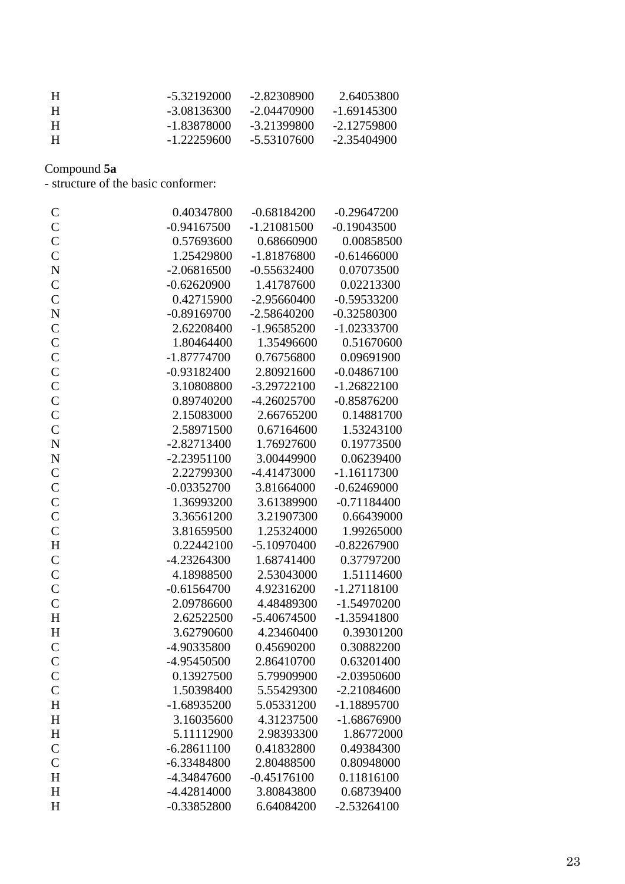| -5.32192000   | -2.82308900 | 2.64053800    |
|---------------|-------------|---------------|
| -3.08136300   | -2.04470900 | $-1.69145300$ |
| -1.83878000   | -3.21399800 | $-2.12759800$ |
| $-1.22259600$ | -5.53107600 | -2.35404900   |
|               |             |               |

Compound **5a**

- structure of the basic conformer:

| $\mathsf{C}$       | 0.40347800    | $-0.68184200$ | $-0.29647200$ |
|--------------------|---------------|---------------|---------------|
| $\mathsf{C}$       | $-0.94167500$ | $-1.21081500$ | $-0.19043500$ |
| $\mathbf C$        | 0.57693600    | 0.68660900    | 0.00858500    |
| $\mathsf{C}$       | 1.25429800    | $-1.81876800$ | $-0.61466000$ |
| $\mathbf N$        | $-2.06816500$ | $-0.55632400$ | 0.07073500    |
| $\mathsf C$        | $-0.62620900$ | 1.41787600    | 0.02213300    |
| $\mathbf C$        | 0.42715900    | $-2.95660400$ | $-0.59533200$ |
| $\overline{\bf N}$ | $-0.89169700$ | $-2.58640200$ | $-0.32580300$ |
| $\mathbf C$        | 2.62208400    | $-1.96585200$ | $-1.02333700$ |
| $\mathbf C$        | 1.80464400    | 1.35496600    | 0.51670600    |
| $\mathbf C$        | $-1.87774700$ | 0.76756800    | 0.09691900    |
| $\mathbf C$        | $-0.93182400$ | 2.80921600    | $-0.04867100$ |
| $\mathbf C$        | 3.10808800    | $-3.29722100$ | $-1.26822100$ |
| $\mathsf{C}$       | 0.89740200    | $-4.26025700$ | $-0.85876200$ |
| $\mathsf{C}$       | 2.15083000    | 2.66765200    | 0.14881700    |
| $\mathsf{C}$       | 2.58971500    | 0.67164600    | 1.53243100    |
| $\mathbf N$        | $-2.82713400$ | 1.76927600    | 0.19773500    |
| $\mathbf N$        | $-2.23951100$ | 3.00449900    | 0.06239400    |
| $\mathbf C$        | 2.22799300    | $-4.41473000$ | $-1.16117300$ |
| $\mathbf C$        | $-0.03352700$ | 3.81664000    | $-0.62469000$ |
| $\mathbf C$        | 1.36993200    | 3.61389900    | $-0.71184400$ |
| $\mathsf{C}$       | 3.36561200    | 3.21907300    | 0.66439000    |
| $\mathsf{C}$       | 3.81659500    | 1.25324000    | 1.99265000    |
| H                  | 0.22442100    | $-5.10970400$ | $-0.82267900$ |
| $\mathbf C$        | $-4.23264300$ | 1.68741400    | 0.37797200    |
| $\mathbf C$        | 4.18988500    | 2.53043000    | 1.51114600    |
| $\mathbf C$        | $-0.61564700$ | 4.92316200    | $-1.27118100$ |
| $\mathsf{C}$       | 2.09786600    | 4.48489300    | $-1.54970200$ |
| H                  | 2.62522500    | $-5.40674500$ | $-1.35941800$ |
| $H_{\rm}$          | 3.62790600    | 4.23460400    | 0.39301200    |
| $\mathbf C$        | -4.90335800   | 0.45690200    | 0.30882200    |
| $\mathsf{C}$       | -4.95450500   | 2.86410700    | 0.63201400    |
| $\mathcal{C}$      | 0.13927500    | 5.79909900    | $-2.03950600$ |
| $\mathcal{C}$      | 1.50398400    | 5.55429300    | $-2.21084600$ |
| H                  | $-1.68935200$ | 5.05331200    | $-1.18895700$ |
| H                  | 3.16035600    | 4.31237500    | $-1.68676900$ |
| H                  | 5.11112900    | 2.98393300    | 1.86772000    |
| $\mathsf{C}$       | $-6.28611100$ | 0.41832800    | 0.49384300    |
| $\mathsf{C}$       | $-6.33484800$ | 2.80488500    | 0.80948000    |
| H                  | -4.34847600   | $-0.45176100$ | 0.11816100    |
| H                  | $-4.42814000$ | 3.80843800    | 0.68739400    |
| H                  | $-0.33852800$ | 6.64084200    | $-2.53264100$ |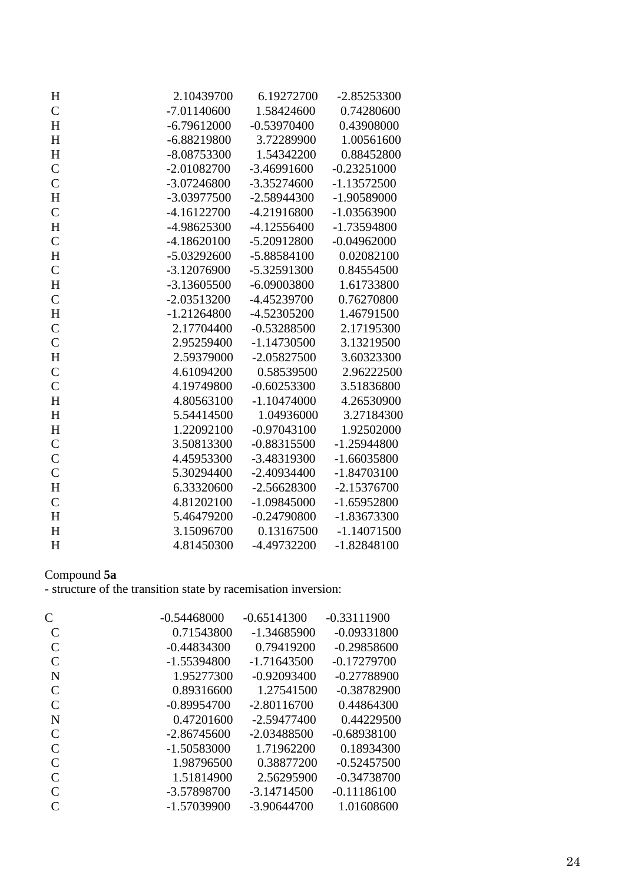| $H_{\rm}$     | 2.10439700    | 6.19272700    | $-2.85253300$ |
|---------------|---------------|---------------|---------------|
| $\mathbf C$   | $-7.01140600$ | 1.58424600    | 0.74280600    |
| $H_{\rm}$     | $-6.79612000$ | $-0.53970400$ | 0.43908000    |
| H             | $-6.88219800$ | 3.72289900    | 1.00561600    |
| $H_{\rm}$     | $-8.08753300$ | 1.54342200    | 0.88452800    |
| $\mathbf C$   | $-2.01082700$ | $-3.46991600$ | $-0.23251000$ |
| $\mathbf C$   | $-3.07246800$ | $-3.35274600$ | $-1.13572500$ |
| $\mathbf H$   | -3.03977500   | $-2.58944300$ | -1.90589000   |
| $\mathsf{C}$  | $-4.16122700$ | -4.21916800   | $-1.03563900$ |
| $\mathbf H$   | -4.98625300   | $-4.12556400$ | -1.73594800   |
| $\mathsf{C}$  | $-4.18620100$ | $-5.20912800$ | $-0.04962000$ |
| $H_{\rm}$     | $-5.03292600$ | $-5.88584100$ | 0.02082100    |
| $\mathbf C$   | $-3.12076900$ | -5.32591300   | 0.84554500    |
| $\mathbf H$   | $-3.13605500$ | $-6.09003800$ | 1.61733800    |
| $\mathbf C$   | $-2.03513200$ | -4.45239700   | 0.76270800    |
| $H_{\rm}$     | $-1.21264800$ | -4.52305200   | 1.46791500    |
| $\mathbf C$   | 2.17704400    | $-0.53288500$ | 2.17195300    |
| $\mathbf C$   | 2.95259400    | $-1.14730500$ | 3.13219500    |
| $H_{\rm}$     | 2.59379000    | $-2.05827500$ | 3.60323300    |
| $\mathbf C$   | 4.61094200    | 0.58539500    | 2.96222500    |
| $\mathbf C$   | 4.19749800    | $-0.60253300$ | 3.51836800    |
| $H_{\rm}$     | 4.80563100    | $-1.10474000$ | 4.26530900    |
| $H_{\rm}$     | 5.54414500    | 1.04936000    | 3.27184300    |
| $H_{\rm}$     | 1.22092100    | $-0.97043100$ | 1.92502000    |
| $\mathcal{C}$ | 3.50813300    | $-0.88315500$ | $-1.25944800$ |
| $\mathsf{C}$  | 4.45953300    | -3.48319300   | $-1.66035800$ |
| $\mathbf C$   | 5.30294400    | $-2.40934400$ | $-1.84703100$ |
| $H_{\rm}$     | 6.33320600    | $-2.56628300$ | $-2.15376700$ |
| $\mathbf C$   | 4.81202100    | $-1.09845000$ | $-1.65952800$ |
| H             | 5.46479200    | $-0.24790800$ | $-1.83673300$ |
| H             | 3.15096700    | 0.13167500    | $-1.14071500$ |
| H             | 4.81450300    | -4.49732200   | $-1.82848100$ |

#### Compound **5a**

| C             | $-0.54468000$ | $-0.65141300$ | $-0.33111900$ |
|---------------|---------------|---------------|---------------|
| C             | 0.71543800    | $-1.34685900$ | $-0.09331800$ |
| C             | $-0.44834300$ | 0.79419200    | $-0.29858600$ |
| $\mathsf{C}$  | $-1.55394800$ | -1.71643500   | $-0.17279700$ |
| N             | 1.95277300    | $-0.92093400$ | $-0.27788900$ |
| $\mathcal{C}$ | 0.89316600    | 1.27541500    | $-0.38782900$ |
| $\mathsf{C}$  | $-0.89954700$ | $-2.80116700$ | 0.44864300    |
| N             | 0.47201600    | $-2.59477400$ | 0.44229500    |
| $\mathsf{C}$  | $-2.86745600$ | $-2.03488500$ | $-0.68938100$ |
| $\mathcal{C}$ | $-1.50583000$ | 1.71962200    | 0.18934300    |
| $\mathcal{C}$ | 1.98796500    | 0.38877200    | $-0.52457500$ |
| $\mathcal{C}$ | 1.51814900    | 2.56295900    | $-0.34738700$ |
| $\mathcal{C}$ | -3.57898700   | $-3.14714500$ | $-0.11186100$ |
| C             | $-1.57039900$ | $-3.90644700$ | 1.01608600    |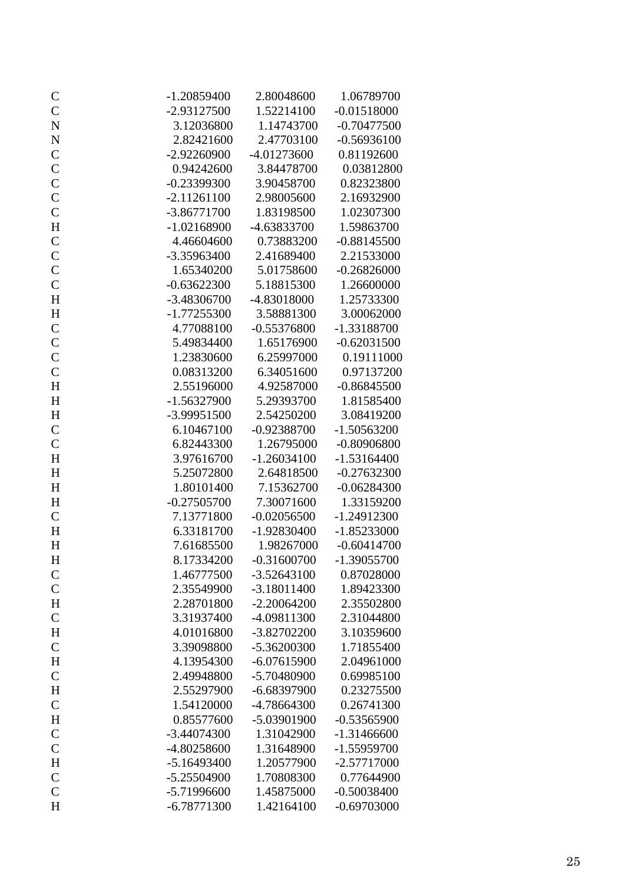| $\mathsf{C}$              | $-1.20859400$ | 2.80048600    | 1.06789700    |
|---------------------------|---------------|---------------|---------------|
| $\mathcal{C}$             | $-2.93127500$ | 1.52214100    | $-0.01518000$ |
| $\mathbf N$               | 3.12036800    | 1.14743700    | $-0.70477500$ |
| $\mathbf N$               | 2.82421600    | 2.47703100    | $-0.56936100$ |
|                           | $-2.92260900$ | $-4.01273600$ | 0.81192600    |
| $\frac{C}{C}$             | 0.94242600    | 3.84478700    | 0.03812800    |
| $\mathcal{C}$             | $-0.23399300$ | 3.90458700    | 0.82323800    |
| $\mathcal{C}$             | $-2.11261100$ | 2.98005600    | 2.16932900    |
| $\mathbf{C}$              | $-3.86771700$ | 1.83198500    | 1.02307300    |
| $\mathbf H$               | $-1.02168900$ | -4.63833700   | 1.59863700    |
| $\mathbf C$               | 4.46604600    | 0.73883200    | $-0.88145500$ |
| $\mathcal{C}$             | -3.35963400   | 2.41689400    | 2.21533000    |
| $\mathbf C$               | 1.65340200    | 5.01758600    | $-0.26826000$ |
| $\mathbf C$               | $-0.63622300$ | 5.18815300    | 1.26600000    |
| $H_{\rm}$                 | $-3.48306700$ | -4.83018000   | 1.25733300    |
| $\boldsymbol{\mathrm{H}}$ | $-1.77255300$ | 3.58881300    | 3.00062000    |
|                           | 4.77088100    | $-0.55376800$ | -1.33188700   |
| $\frac{C}{C}$             | 5.49834400    | 1.65176900    | $-0.62031500$ |
| $\mathcal{C}$             | 1.23830600    | 6.25997000    | 0.19111000    |
| $\mathsf{C}$              | 0.08313200    | 6.34051600    | 0.97137200    |
| H                         | 2.55196000    | 4.92587000    | $-0.86845500$ |
| $H_{\rm}$                 | $-1.56327900$ | 5.29393700    | 1.81585400    |
| $H_{\rm}$                 | -3.99951500   | 2.54250200    | 3.08419200    |
| $\mathbf C$               | 6.10467100    | $-0.92388700$ | $-1.50563200$ |
| $\mathsf{C}$              | 6.82443300    | 1.26795000    | $-0.80906800$ |
| H                         | 3.97616700    | $-1.26034100$ | $-1.53164400$ |
| H                         | 5.25072800    | 2.64818500    | $-0.27632300$ |
| H                         | 1.80101400    | 7.15362700    | $-0.06284300$ |
| $H_{\rm}$                 | $-0.27505700$ | 7.30071600    | 1.33159200    |
| $\mathbf C$               | 7.13771800    | $-0.02056500$ | $-1.24912300$ |
| H                         | 6.33181700    | $-1.92830400$ | $-1.85233000$ |
| H                         | 7.61685500    | 1.98267000    | $-0.60414700$ |
| $H_{\rm}$                 | 8.17334200    | $-0.31600700$ | $-1.39055700$ |
| $\mathcal{C}$             | 1.46777500    | $-3.52643100$ | 0.87028000    |
| $\mathbf C$               | 2.35549900    | $-3.18011400$ | 1.89423300    |
| H                         | 2.28701800    | $-2.20064200$ | 2.35502800    |
| $\mathbf C$               | 3.31937400    | -4.09811300   | 2.31044800    |
| H                         | 4.01016800    | $-3.82702200$ | 3.10359600    |
| $\mathbf C$               | 3.39098800    | -5.36200300   | 1.71855400    |
| $H_{\rm}$                 | 4.13954300    | $-6.07615900$ | 2.04961000    |
| $\mathsf{C}$              | 2.49948800    | -5.70480900   | 0.69985100    |
| $H_{\rm}$                 | 2.55297900    | $-6.68397900$ | 0.23275500    |
| $\mathsf{C}$              | 1.54120000    | -4.78664300   | 0.26741300    |
| $H_{\rm}$                 | 0.85577600    | -5.03901900   | $-0.53565900$ |
| $\mathsf{C}$              | $-3.44074300$ | 1.31042900    | $-1.31466600$ |
| $\mathsf{C}$              | -4.80258600   | 1.31648900    | -1.55959700   |
| $H_{\rm}$                 | $-5.16493400$ | 1.20577900    | $-2.57717000$ |
| $\mathcal{C}$             | $-5.25504900$ | 1.70808300    | 0.77644900    |
| $\mathsf{C}$              | -5.71996600   | 1.45875000    | $-0.50038400$ |
| H                         | $-6.78771300$ | 1.42164100    | $-0.69703000$ |
|                           |               |               |               |